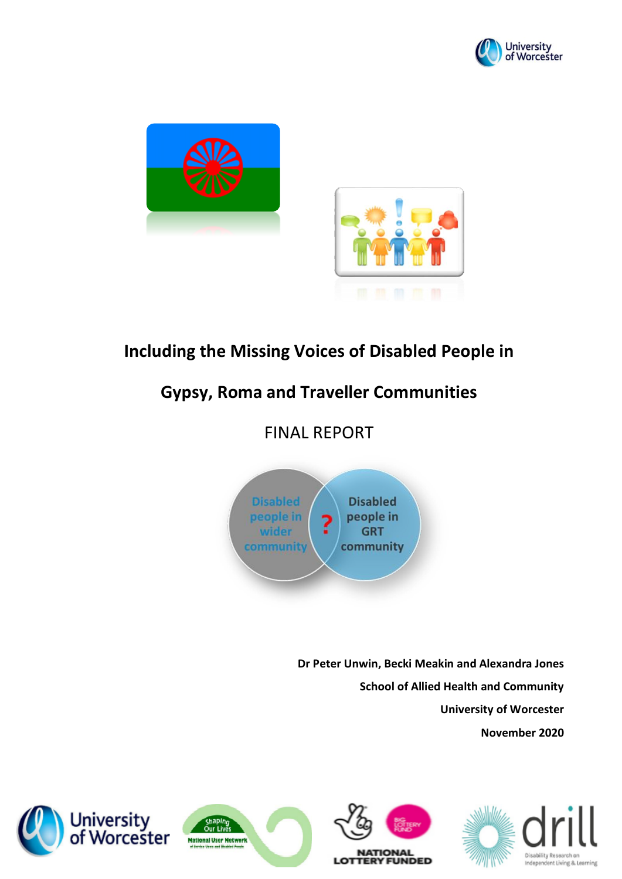



# **Including the Missing Voices of Disabled People in**

# **Gypsy, Roma and Traveller Communities**

# FINAL REPORT



**Dr Peter Unwin, Becki Meakin and Alexandra Jones School of Allied Health and Community University of Worcester November 2020**





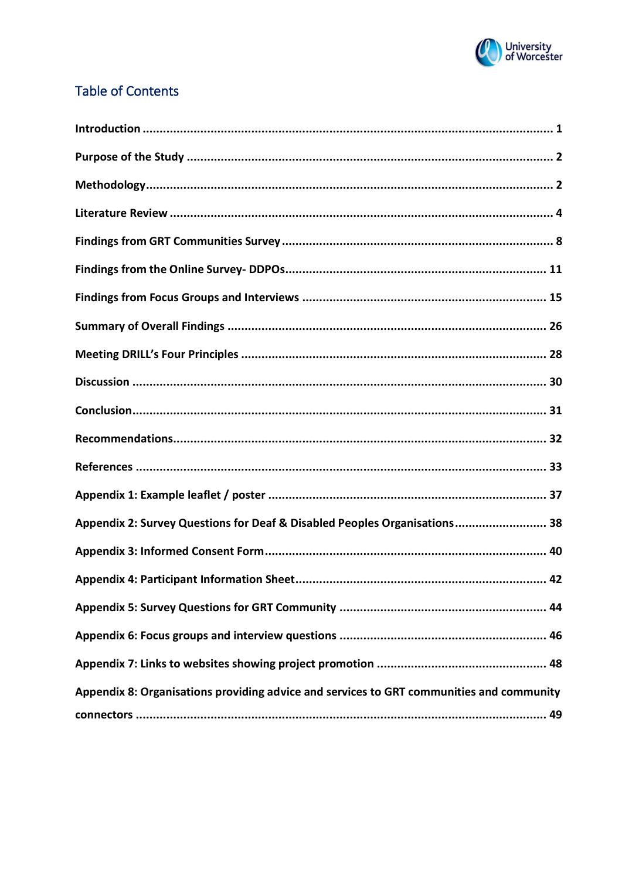

## **Table of Contents**

| Appendix 2: Survey Questions for Deaf & Disabled Peoples Organisations 38                |
|------------------------------------------------------------------------------------------|
|                                                                                          |
|                                                                                          |
|                                                                                          |
|                                                                                          |
|                                                                                          |
| Appendix 8: Organisations providing advice and services to GRT communities and community |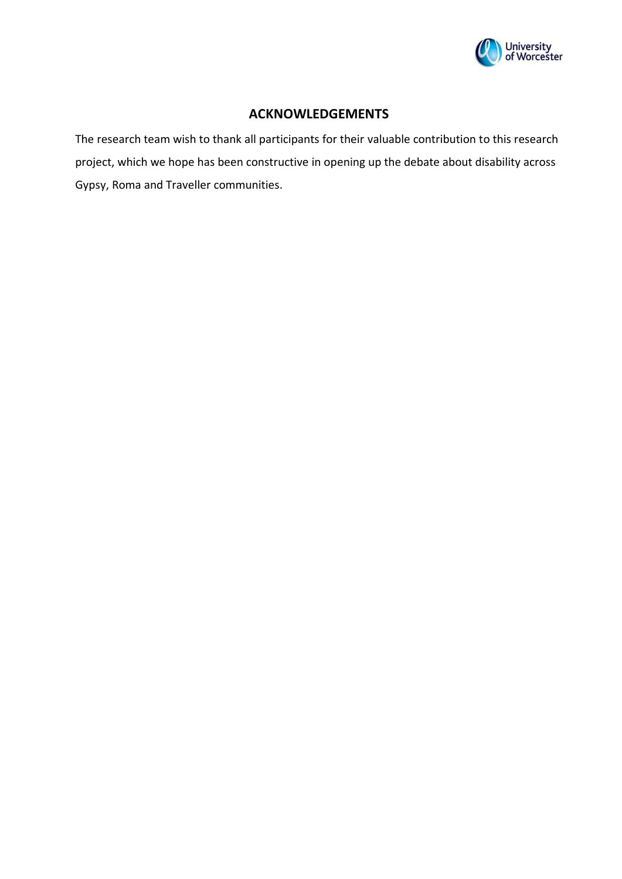

## **ACKNOWLEDGEMENTS**

The research team wish to thank all participants for their valuable contribution to this research project, which we hope has been constructive in opening up the debate about disability across Gypsy, Roma and Traveller communities.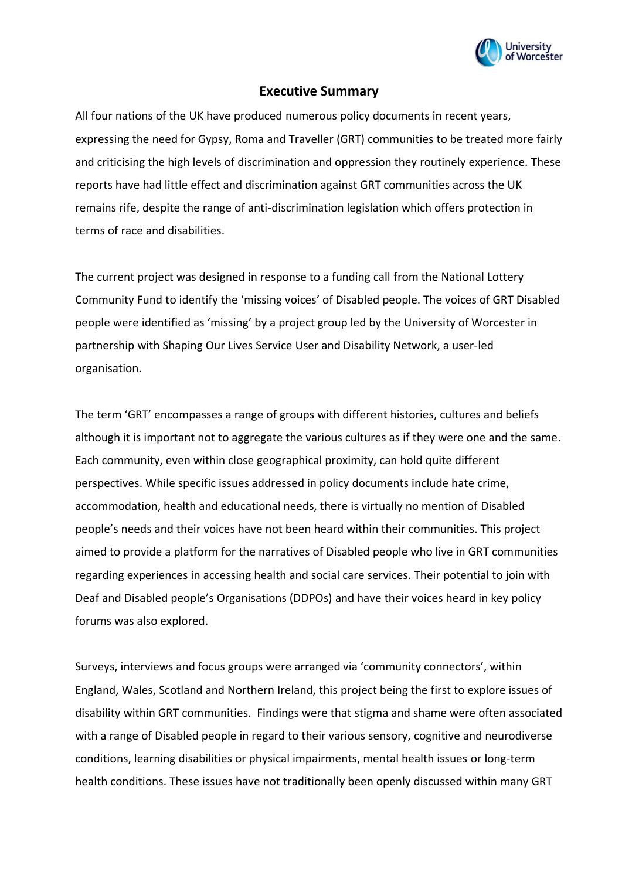

## **Executive Summary**

All four nations of the UK have produced numerous policy documents in recent years, expressing the need for Gypsy, Roma and Traveller (GRT) communities to be treated more fairly and criticising the high levels of discrimination and oppression they routinely experience. These reports have had little effect and discrimination against GRT communities across the UK remains rife, despite the range of anti-discrimination legislation which offers protection in terms of race and disabilities.

The current project was designed in response to a funding call from the National Lottery Community Fund to identify the 'missing voices' of Disabled people. The voices of GRT Disabled people were identified as 'missing' by a project group led by the University of Worcester in partnership with Shaping Our Lives Service User and Disability Network, a user-led organisation.

The term 'GRT' encompasses a range of groups with different histories, cultures and beliefs although it is important not to aggregate the various cultures as if they were one and the same. Each community, even within close geographical proximity, can hold quite different perspectives. While specific issues addressed in policy documents include hate crime, accommodation, health and educational needs, there is virtually no mention of Disabled people's needs and their voices have not been heard within their communities. This project aimed to provide a platform for the narratives of Disabled people who live in GRT communities regarding experiences in accessing health and social care services. Their potential to join with Deaf and Disabled people's Organisations (DDPOs) and have their voices heard in key policy forums was also explored.

Surveys, interviews and focus groups were arranged via 'community connectors', within England, Wales, Scotland and Northern Ireland, this project being the first to explore issues of disability within GRT communities. Findings were that stigma and shame were often associated with a range of Disabled people in regard to their various sensory, cognitive and neurodiverse conditions, learning disabilities or physical impairments, mental health issues or long-term health conditions. These issues have not traditionally been openly discussed within many GRT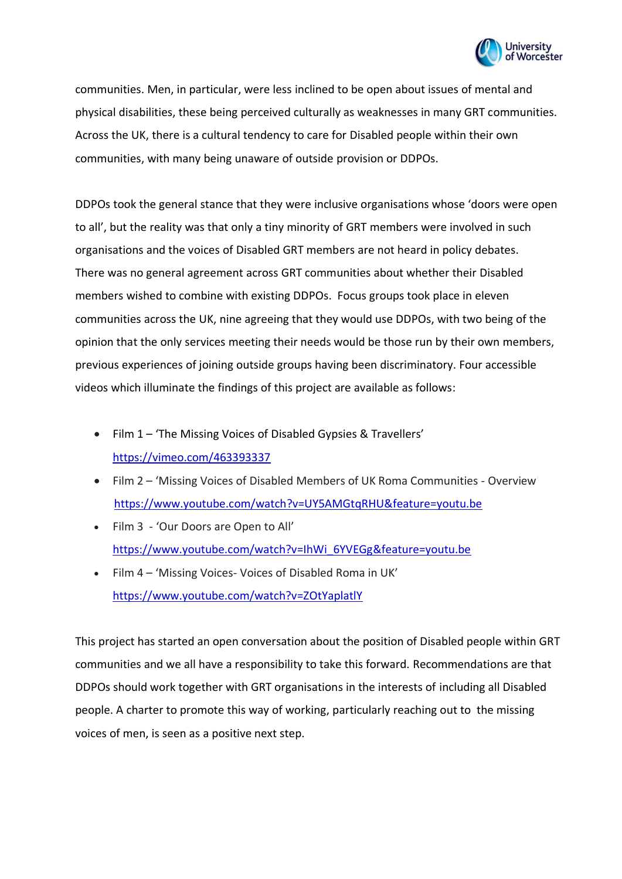

communities. Men, in particular, were less inclined to be open about issues of mental and physical disabilities, these being perceived culturally as weaknesses in many GRT communities. Across the UK, there is a cultural tendency to care for Disabled people within their own communities, with many being unaware of outside provision or DDPOs.

DDPOs took the general stance that they were inclusive organisations whose 'doors were open to all', but the reality was that only a tiny minority of GRT members were involved in such organisations and the voices of Disabled GRT members are not heard in policy debates. There was no general agreement across GRT communities about whether their Disabled members wished to combine with existing DDPOs. Focus groups took place in eleven communities across the UK, nine agreeing that they would use DDPOs, with two being of the opinion that the only services meeting their needs would be those run by their own members, previous experiences of joining outside groups having been discriminatory. Four accessible videos which illuminate the findings of this project are available as follows:

- Film 1 'The Missing Voices of Disabled Gypsies & Travellers' <https://vimeo.com/463393337>
- Film 2 'Missing Voices of Disabled Members of UK Roma Communities Overview' <https://www.youtube.com/watch?v=UY5AMGtqRHU&feature=youtu.be>
- Film 3 'Our Doors are Open to All' [https://www.youtube.com/watch?v=IhWi\\_6YVEGg&feature=youtu.be](https://www.youtube.com/watch?v=IhWi_6YVEGg&feature=youtu.be)
- Film 4 'Missing Voices- Voices of Disabled Roma in UK' <https://www.youtube.com/watch?v=ZOtYaplatlY>

This project has started an open conversation about the position of Disabled people within GRT communities and we all have a responsibility to take this forward. Recommendations are that DDPOs should work together with GRT organisations in the interests of including all Disabled people. A charter to promote this way of working, particularly reaching out to the missing voices of men, is seen as a positive next step.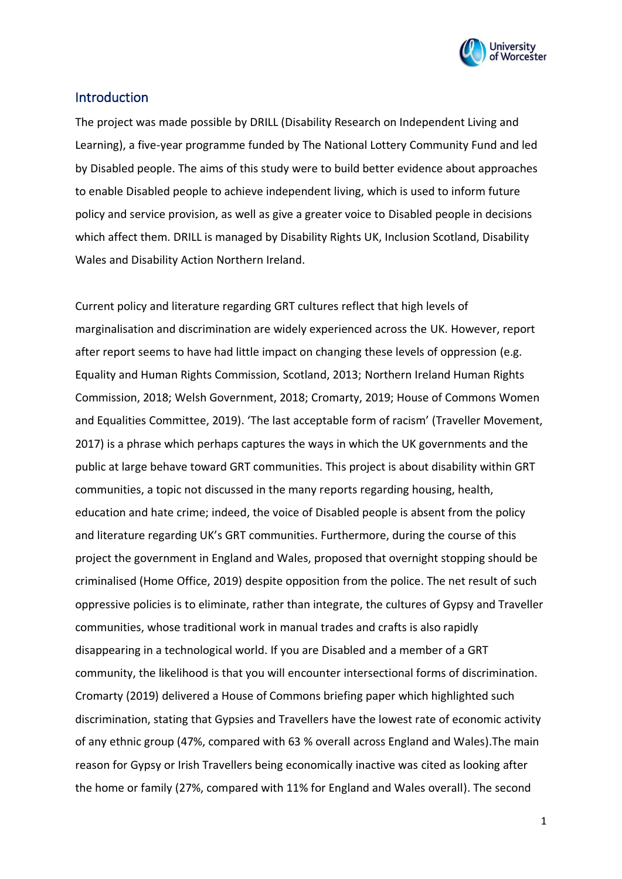

## <span id="page-5-0"></span>Introduction

The project was made possible by DRILL (Disability Research on Independent Living and Learning), a five-year programme funded by The National Lottery Community Fund and led by Disabled people. The aims of this study were to build better evidence about approaches to enable Disabled people to achieve independent living, which is used to inform future policy and service provision, as well as give a greater voice to Disabled people in decisions which affect them. DRILL is managed by Disability Rights UK, Inclusion Scotland, Disability Wales and Disability Action Northern Ireland.

Current policy and literature regarding GRT cultures reflect that high levels of marginalisation and discrimination are widely experienced across the UK. However, report after report seems to have had little impact on changing these levels of oppression (e.g. Equality and Human Rights Commission, Scotland, 2013; Northern Ireland Human Rights Commission, 2018; Welsh Government, 2018; Cromarty, 2019; House of Commons Women and Equalities Committee, 2019). 'The last acceptable form of racism' (Traveller Movement, 2017) is a phrase which perhaps captures the ways in which the UK governments and the public at large behave toward GRT communities. This project is about disability within GRT communities, a topic not discussed in the many reports regarding housing, health, education and hate crime; indeed, the voice of Disabled people is absent from the policy and literature regarding UK's GRT communities. Furthermore, during the course of this project the government in England and Wales, proposed that overnight stopping should be criminalised (Home Office, 2019) despite opposition from the police. The net result of such oppressive policies is to eliminate, rather than integrate, the cultures of Gypsy and Traveller communities, whose traditional work in manual trades and crafts is also rapidly disappearing in a technological world. If you are Disabled and a member of a GRT community, the likelihood is that you will encounter intersectional forms of discrimination. Cromarty (2019) delivered a House of Commons briefing paper which highlighted such discrimination, stating that Gypsies and Travellers have the lowest rate of economic activity of any ethnic group (47%, compared with 63 % overall across England and Wales).The main reason for Gypsy or Irish Travellers being economically inactive was cited as looking after the home or family (27%, compared with 11% for England and Wales overall). The second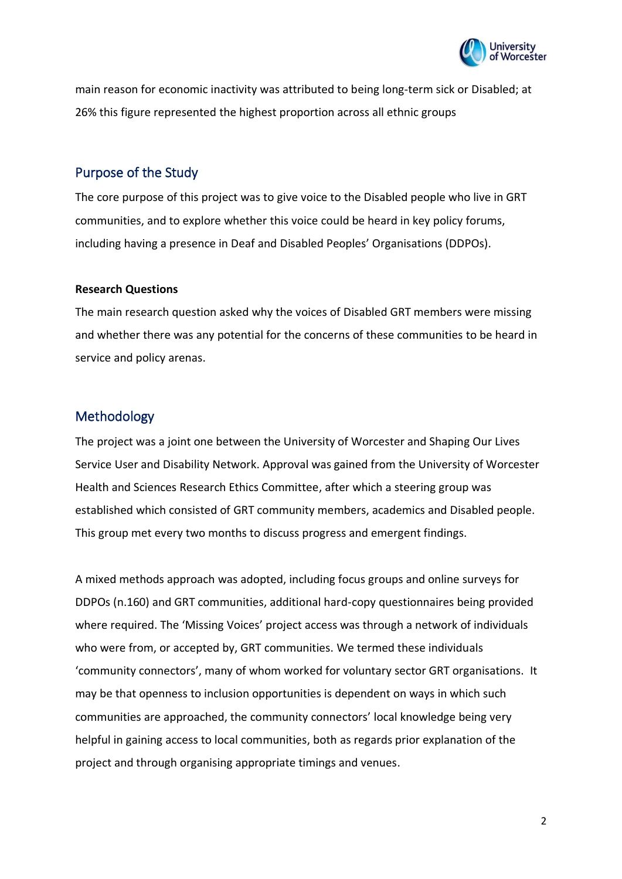

main reason for economic inactivity was attributed to being long-term sick or Disabled; at 26% this figure represented the highest proportion across all ethnic groups

## <span id="page-6-0"></span>Purpose of the Study

The core purpose of this project was to give voice to the Disabled people who live in GRT communities, and to explore whether this voice could be heard in key policy forums, including having a presence in Deaf and Disabled Peoples' Organisations (DDPOs).

#### **Research Questions**

The main research question asked why the voices of Disabled GRT members were missing and whether there was any potential for the concerns of these communities to be heard in service and policy arenas.

## <span id="page-6-1"></span>**Methodology**

The project was a joint one between the University of Worcester and Shaping Our Lives Service User and Disability Network. Approval was gained from the University of Worcester Health and Sciences Research Ethics Committee, after which a steering group was established which consisted of GRT community members, academics and Disabled people. This group met every two months to discuss progress and emergent findings.

A mixed methods approach was adopted, including focus groups and online surveys for DDPOs (n.160) and GRT communities, additional hard-copy questionnaires being provided where required. The 'Missing Voices' project access was through a network of individuals who were from, or accepted by, GRT communities. We termed these individuals 'community connectors', many of whom worked for voluntary sector GRT organisations. It may be that openness to inclusion opportunities is dependent on ways in which such communities are approached, the community connectors' local knowledge being very helpful in gaining access to local communities, both as regards prior explanation of the project and through organising appropriate timings and venues.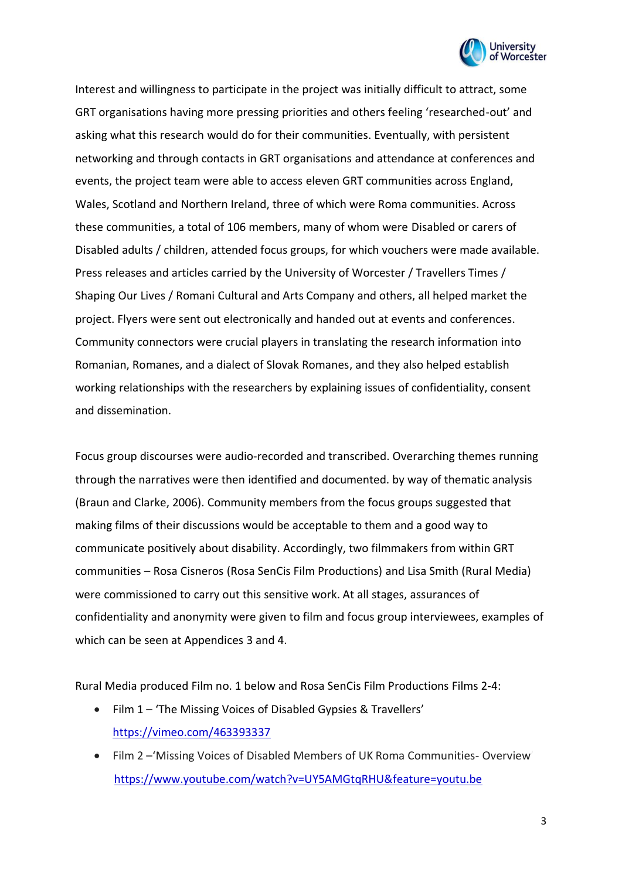

Interest and willingness to participate in the project was initially difficult to attract, some GRT organisations having more pressing priorities and others feeling 'researched-out' and asking what this research would do for their communities. Eventually, with persistent networking and through contacts in GRT organisations and attendance at conferences and events, the project team were able to access eleven GRT communities across England, Wales, Scotland and Northern Ireland, three of which were Roma communities. Across these communities, a total of 106 members, many of whom were Disabled or carers of Disabled adults / children, attended focus groups, for which vouchers were made available. Press releases and articles carried by the University of Worcester / Travellers Times / Shaping Our Lives / Romani Cultural and Arts Company and others, all helped market the project. Flyers were sent out electronically and handed out at events and conferences. Community connectors were crucial players in translating the research information into Romanian, Romanes, and a dialect of Slovak Romanes, and they also helped establish working relationships with the researchers by explaining issues of confidentiality, consent and dissemination.

Focus group discourses were audio-recorded and transcribed. Overarching themes running through the narratives were then identified and documented. by way of thematic analysis (Braun and Clarke, 2006). Community members from the focus groups suggested that making films of their discussions would be acceptable to them and a good way to communicate positively about disability. Accordingly, two filmmakers from within GRT communities – Rosa Cisneros (Rosa SenCis Film Productions) and Lisa Smith (Rural Media) were commissioned to carry out this sensitive work. At all stages, assurances of confidentiality and anonymity were given to film and focus group interviewees, examples of which can be seen at Appendices 3 and 4.

Rural Media produced Film no. 1 below and Rosa [SenCis Film Productions](https://www.youtube.com/channel/UCp_3FHs4MS0IhqjXKGiVQyQ) Films 2-4:

- Film 1 'The Missing Voices of Disabled Gypsies & Travellers' <https://vimeo.com/463393337>
- Film 2 –'Missing Voices of Disabled Members of UK Roma Communities- Overview' <https://www.youtube.com/watch?v=UY5AMGtqRHU&feature=youtu.be>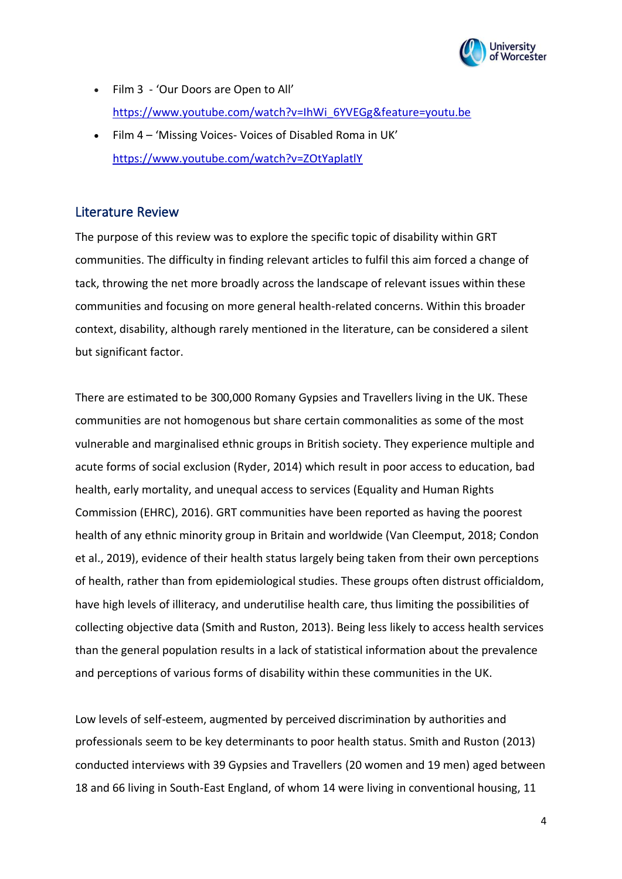

- Film 3 'Our Doors are Open to All' [https://www.youtube.com/watch?v=IhWi\\_6YVEGg&feature=youtu.be](https://www.youtube.com/watch?v=IhWi_6YVEGg&feature=youtu.be)
- Film 4 'Missing Voices- Voices of Disabled Roma in UK' <https://www.youtube.com/watch?v=ZOtYaplatlY>

## <span id="page-8-0"></span>Literature Review

The purpose of this review was to explore the specific topic of disability within GRT communities. The difficulty in finding relevant articles to fulfil this aim forced a change of tack, throwing the net more broadly across the landscape of relevant issues within these communities and focusing on more general health-related concerns. Within this broader context, disability, although rarely mentioned in the literature, can be considered a silent but significant factor.

There are estimated to be 300,000 Romany Gypsies and Travellers living in the UK. These communities are not homogenous but share certain commonalities as some of the most vulnerable and marginalised ethnic groups in British society. They experience multiple and acute forms of social exclusion (Ryder, 2014) which result in poor access to education, bad health, early mortality, and unequal access to services (Equality and Human Rights Commission (EHRC), 2016). GRT communities have been reported as having the poorest health of any ethnic minority group in Britain and worldwide (Van Cleemput, 2018; Condon et al., 2019), evidence of their health status largely being taken from their own perceptions of health, rather than from epidemiological studies. These groups often distrust officialdom, have high levels of illiteracy, and underutilise health care, thus limiting the possibilities of collecting objective data (Smith and Ruston, 2013). Being less likely to access health services than the general population results in a lack of statistical information about the prevalence and perceptions of various forms of disability within these communities in the UK.

Low levels of self-esteem, augmented by perceived discrimination by authorities and professionals seem to be key determinants to poor health status. Smith and Ruston (2013) conducted interviews with 39 Gypsies and Travellers (20 women and 19 men) aged between 18 and 66 living in South-East England, of whom 14 were living in conventional housing, 11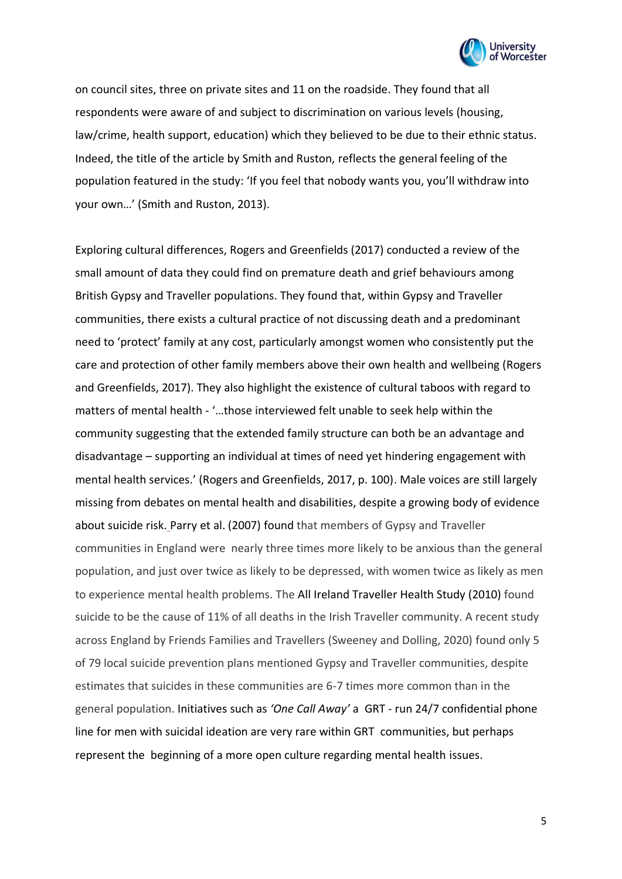

on council sites, three on private sites and 11 on the roadside. They found that all respondents were aware of and subject to discrimination on various levels (housing, law/crime, health support, education) which they believed to be due to their ethnic status. Indeed, the title of the article by Smith and Ruston, reflects the general feeling of the population featured in the study: 'If you feel that nobody wants you, you'll withdraw into your own…' (Smith and Ruston, 2013).

Exploring cultural differences, Rogers and Greenfields (2017) conducted a review of the small amount of data they could find on premature death and grief behaviours among British Gypsy and Traveller populations. They found that, within Gypsy and Traveller communities, there exists a cultural practice of not discussing death and a predominant need to 'protect' family at any cost, particularly amongst women who consistently put the care and protection of other family members above their own health and wellbeing (Rogers and Greenfields, 2017). They also highlight the existence of cultural taboos with regard to matters of mental health - '…those interviewed felt unable to seek help within the community suggesting that the extended family structure can both be an advantage and disadvantage – supporting an individual at times of need yet hindering engagement with mental health services.' (Rogers and Greenfields, 2017, p. 100). Male voices are still largely missing from debates on mental health and disabilities, despite a growing body of evidence about suicide risk. Parry et al. (2007) found that members of Gypsy and Traveller communities in England were nearly three times more likely to be anxious than the general population, and just over twice as likely to be depressed, with women twice as likely as men to experience mental health problems. The All Ireland [Traveller](https://www.ucd.ie/t4cms/AITHS_SUMMARY.pdf) Health Study (2010) found suicide to be the cause of 11% of all deaths in the Irish Traveller community. A recent study across England by Friends Families and Travellers (Sweeney and Dolling, 2020) found only 5 of 79 local suicide prevention plans mentioned Gypsy and Traveller communities, despite estimates that suicides in these communities are 6-7 times more common than in the general population. Initiatives such as *'One Call Away'* a GRT - run 24/7 confidential phone line for men with suicidal ideation are very rare within GRT communities, but perhaps represent the beginning of a more open culture regarding mental health issues.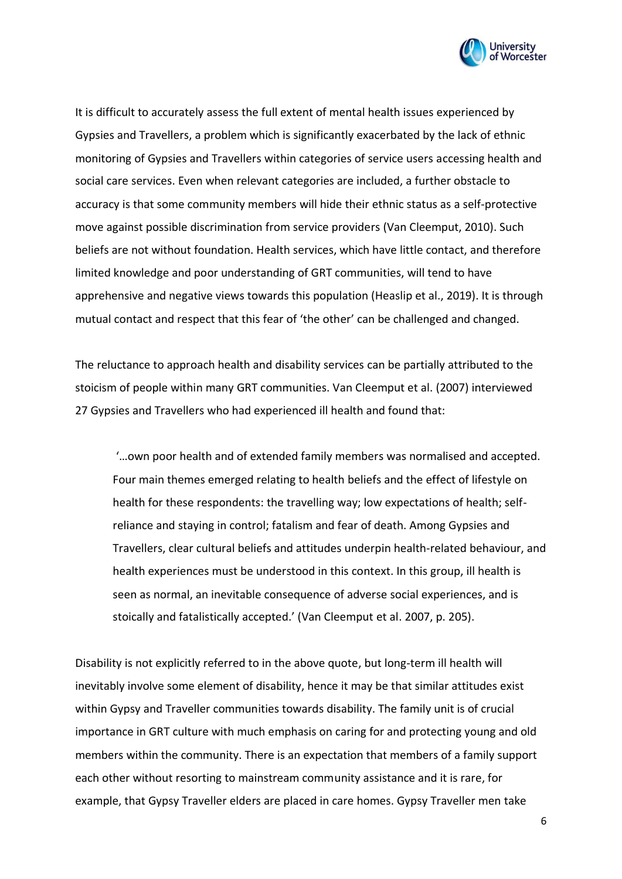

It is difficult to accurately assess the full extent of mental health issues experienced by Gypsies and Travellers, a problem which is significantly exacerbated by the lack of ethnic monitoring of Gypsies and Travellers within categories of service users accessing health and social care services. Even when relevant categories are included, a further obstacle to accuracy is that some community members will hide their ethnic status as a self-protective move against possible discrimination from service providers (Van Cleemput, 2010). Such beliefs are not without foundation. Health services, which have little contact, and therefore limited knowledge and poor understanding of GRT communities, will tend to have apprehensive and negative views towards this population (Heaslip et al., 2019). It is through mutual contact and respect that this fear of 'the other' can be challenged and changed.

The reluctance to approach health and disability services can be partially attributed to the stoicism of people within many GRT communities. Van Cleemput et al. (2007) interviewed 27 Gypsies and Travellers who had experienced ill health and found that:

'…own poor health and of extended family members was normalised and accepted. Four main themes emerged relating to health beliefs and the effect of lifestyle on health for these respondents: the travelling way; low expectations of health; selfreliance and staying in control; fatalism and fear of death. Among Gypsies and Travellers, clear cultural beliefs and attitudes underpin health-related behaviour, and health experiences must be understood in this context. In this group, ill health is seen as normal, an inevitable consequence of adverse social experiences, and is stoically and fatalistically accepted.' (Van Cleemput et al. 2007, p. 205).

Disability is not explicitly referred to in the above quote, but long-term ill health will inevitably involve some element of disability, hence it may be that similar attitudes exist within Gypsy and Traveller communities towards disability. The family unit is of crucial importance in GRT culture with much emphasis on caring for and protecting young and old members within the community. There is an expectation that members of a family support each other without resorting to mainstream community assistance and it is rare, for example, that Gypsy Traveller elders are placed in care homes. Gypsy Traveller men take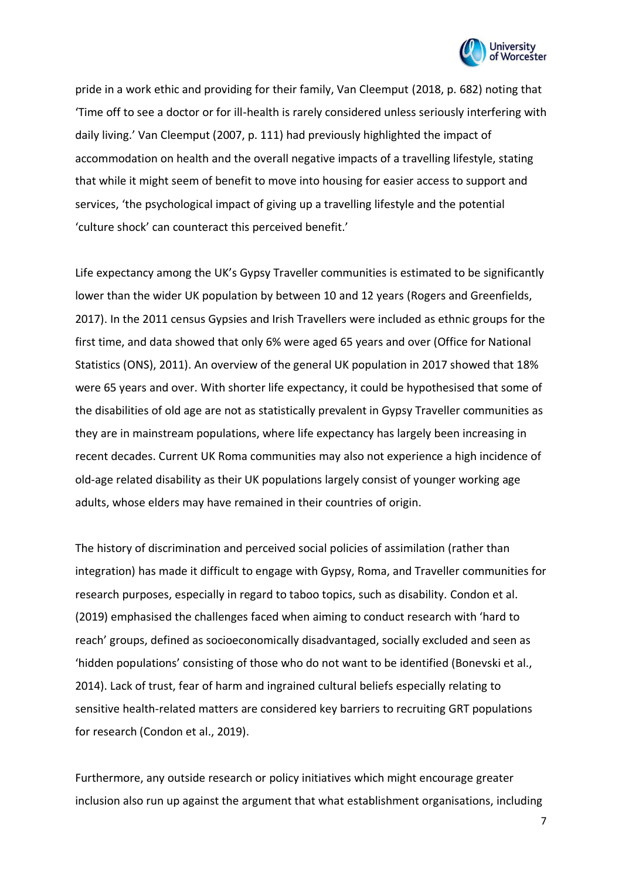

pride in a work ethic and providing for their family, Van Cleemput (2018, p. 682) noting that 'Time off to see a doctor or for ill-health is rarely considered unless seriously interfering with daily living.' Van Cleemput (2007, p. 111) had previously highlighted the impact of accommodation on health and the overall negative impacts of a travelling lifestyle, stating that while it might seem of benefit to move into housing for easier access to support and services, 'the psychological impact of giving up a travelling lifestyle and the potential 'culture shock' can counteract this perceived benefit.'

Life expectancy among the UK's Gypsy Traveller communities is estimated to be significantly lower than the wider UK population by between 10 and 12 years (Rogers and Greenfields, 2017). In the 2011 census Gypsies and Irish Travellers were included as ethnic groups for the first time, and data showed that only 6% were aged 65 years and over (Office for National Statistics (ONS), 2011). An overview of the general UK population in 2017 showed that 18% were 65 years and over. With shorter life expectancy, it could be hypothesised that some of the disabilities of old age are not as statistically prevalent in Gypsy Traveller communities as they are in mainstream populations, where life expectancy has largely been increasing in recent decades. Current UK Roma communities may also not experience a high incidence of old-age related disability as their UK populations largely consist of younger working age adults, whose elders may have remained in their countries of origin.

The history of discrimination and perceived social policies of assimilation (rather than integration) has made it difficult to engage with Gypsy, Roma, and Traveller communities for research purposes, especially in regard to taboo topics, such as disability. Condon et al. (2019) emphasised the challenges faced when aiming to conduct research with 'hard to reach' groups, defined as socioeconomically disadvantaged, socially excluded and seen as 'hidden populations' consisting of those who do not want to be identified (Bonevski et al., 2014). Lack of trust, fear of harm and ingrained cultural beliefs especially relating to sensitive health-related matters are considered key barriers to recruiting GRT populations for research (Condon et al., 2019).

Furthermore, any outside research or policy initiatives which might encourage greater inclusion also run up against the argument that what establishment organisations, including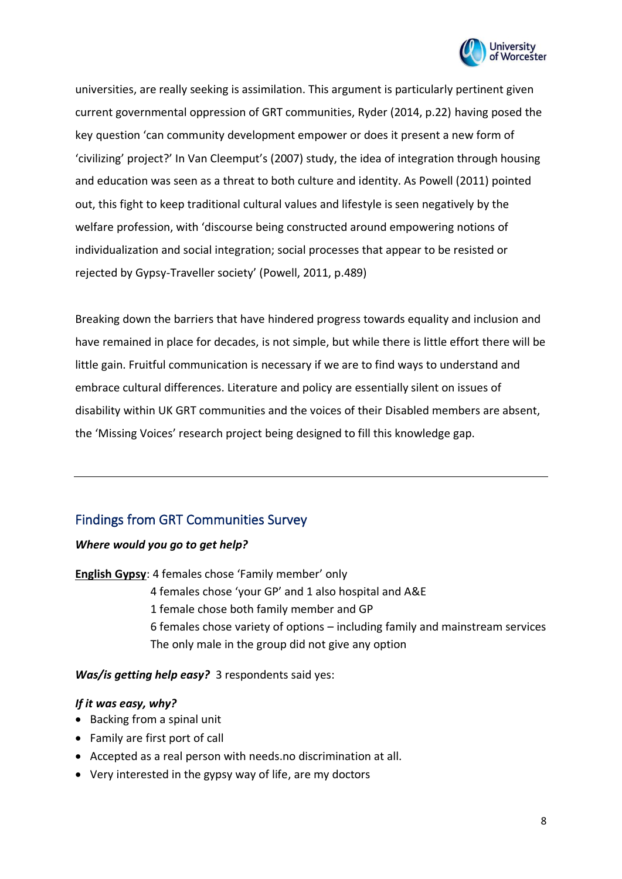

universities, are really seeking is assimilation. This argument is particularly pertinent given current governmental oppression of GRT communities, Ryder (2014, p.22) having posed the key question 'can community development empower or does it present a new form of 'civilizing' project?' In Van Cleemput's (2007) study, the idea of integration through housing and education was seen as a threat to both culture and identity. As Powell (2011) pointed out, this fight to keep traditional cultural values and lifestyle is seen negatively by the welfare profession, with 'discourse being constructed around empowering notions of individualization and social integration; social processes that appear to be resisted or rejected by Gypsy-Traveller society' (Powell, 2011, p.489)

Breaking down the barriers that have hindered progress towards equality and inclusion and have remained in place for decades, is not simple, but while there is little effort there will be little gain. Fruitful communication is necessary if we are to find ways to understand and embrace cultural differences. Literature and policy are essentially silent on issues of disability within UK GRT communities and the voices of their Disabled members are absent, the 'Missing Voices' research project being designed to fill this knowledge gap.

## <span id="page-12-0"></span>Findings from GRT Communities Survey

## *Where would you go to get help?*

**English Gypsy**: 4 females chose 'Family member' only

- 4 females chose 'your GP' and 1 also hospital and A&E
- 1 female chose both family member and GP
- 6 females chose variety of options including family and mainstream services The only male in the group did not give any option

## *Was/is getting help easy?* 3 respondents said yes:

## *If it was easy, why?*

- Backing from a spinal unit
- Family are first port of call
- Accepted as a real person with needs.no discrimination at all.
- Very interested in the gypsy way of life, are my doctors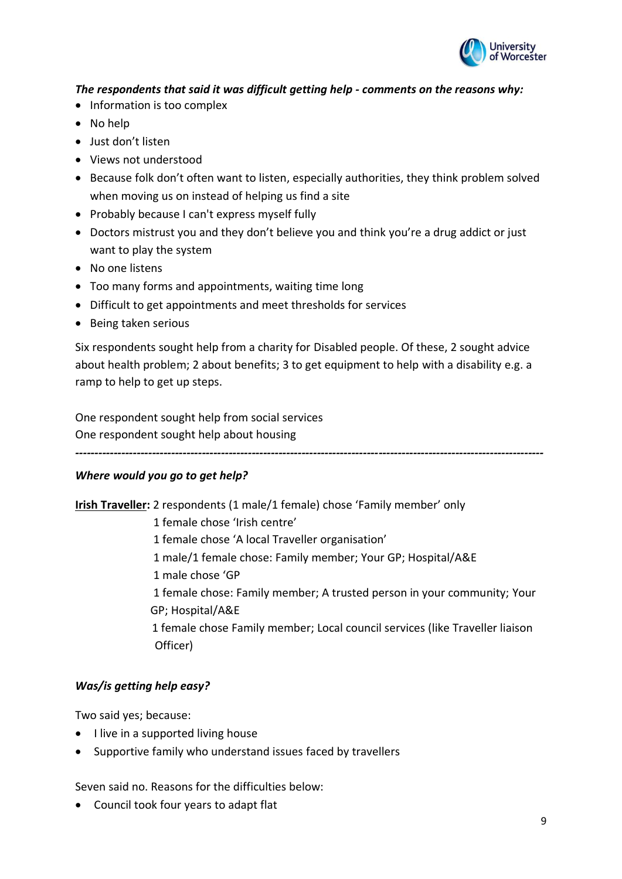

## *The respondents that said it was difficult getting help - comments on the reasons why:*

- Information is too complex
- No help
- Just don't listen
- Views not understood
- Because folk don't often want to listen, especially authorities, they think problem solved when moving us on instead of helping us find a site
- Probably because I can't express myself fully
- Doctors mistrust you and they don't believe you and think you're a drug addict or just want to play the system
- No one listens
- Too many forms and appointments, waiting time long
- Difficult to get appointments and meet thresholds for services
- Being taken serious

Six respondents sought help from a charity for Disabled people. Of these, 2 sought advice about health problem; 2 about benefits; 3 to get equipment to help with a disability e.g. a ramp to help to get up steps.

One respondent sought help from social services One respondent sought help about housing

*--------------------------------------------------------------------------------------------------------------------------*

## *Where would you go to get help?*

**Irish Traveller:** 2 respondents (1 male/1 female) chose 'Family member' only

1 female chose 'Irish centre'

1 female chose 'A local Traveller organisation'

- 1 male/1 female chose: Family member; Your GP; Hospital/A&E
- 1 male chose 'GP
- 1 female chose: Family member; A trusted person in your community; Your GP; Hospital/A&E

 1 female chose Family member; Local council services (like Traveller liaison Officer)

## *Was/is getting help easy?*

Two said yes; because:

- I live in a supported living house
- Supportive family who understand issues faced by travellers

Seven said no. Reasons for the difficulties below:

• Council took four years to adapt flat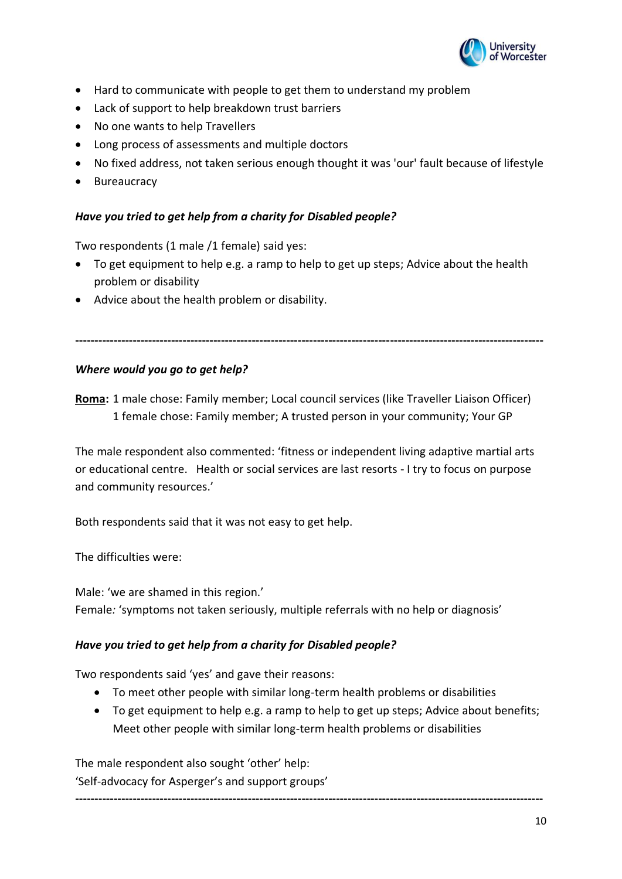

- Hard to communicate with people to get them to understand my problem
- Lack of support to help breakdown trust barriers
- No one wants to help Travellers
- Long process of assessments and multiple doctors
- No fixed address, not taken serious enough thought it was 'our' fault because of lifestyle
- Bureaucracy

## *Have you tried to get help from a charity for Disabled people?*

Two respondents (1 male /1 female) said yes:

- To get equipment to help e.g. a ramp to help to get up steps; Advice about the health problem or disability
- Advice about the health problem or disability.

**--------------------------------------------------------------------------------------------------------------------------**

## *Where would you go to get help?*

**Roma:** 1 male chose: Family member; Local council services (like Traveller Liaison Officer) 1 female chose: Family member; A trusted person in your community; Your GP

The male respondent also commented: 'fitness or independent living adaptive martial arts or educational centre. Health or social services are last resorts - I try to focus on purpose and community resources.'

Both respondents said that it was not easy to get help.

The difficulties were:

Male: 'we are shamed in this region.' Female*:* 'symptoms not taken seriously, multiple referrals with no help or diagnosis'

## *Have you tried to get help from a charity for Disabled people?*

Two respondents said 'yes' and gave their reasons:

- To meet other people with similar long-term health problems or disabilities
- To get equipment to help e.g. a ramp to help to get up steps; Advice about benefits; Meet other people with similar long-term health problems or disabilities

**--------------------------------------------------------------------------------------------------------------------------**

The male respondent also sought 'other' help: 'Self-advocacy for Asperger's and support groups'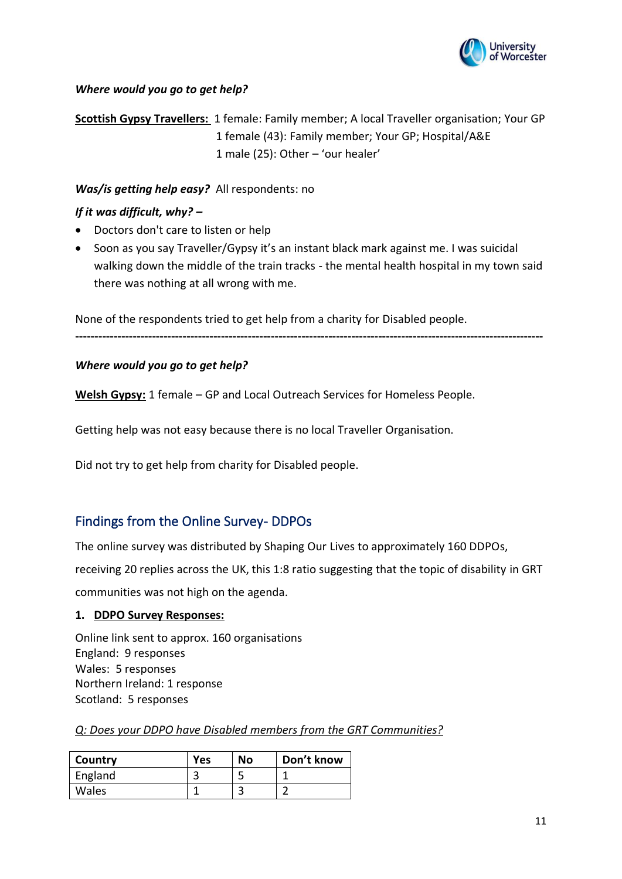

## *Where would you go to get help?*

**Scottish Gypsy Travellers:** 1 female: Family member; A local Traveller organisation; Your GP 1 female (43): Family member; Your GP; Hospital/A&E 1 male (25): Other – 'our healer'

## *Was/is getting help easy?* All respondents: no

## *If it was difficult, why? –*

- Doctors don't care to listen or help
- Soon as you say Traveller/Gypsy it's an instant black mark against me. I was suicidal walking down the middle of the train tracks - the mental health hospital in my town said there was nothing at all wrong with me.

None of the respondents tried to get help from a charity for Disabled people.

**--------------------------------------------------------------------------------------------------------------------------**

## *Where would you go to get help?*

**Welsh Gypsy:** 1 female – GP and Local Outreach Services for Homeless People.

Getting help was not easy because there is no local Traveller Organisation.

Did not try to get help from charity for Disabled people.

## <span id="page-15-0"></span>Findings from the Online Survey- DDPOs

The online survey was distributed by Shaping Our Lives to approximately 160 DDPOs,

receiving 20 replies across the UK, this 1:8 ratio suggesting that the topic of disability in GRT

communities was not high on the agenda.

## **1. DDPO Survey Responses:**

Online link sent to approx. 160 organisations England: 9 responses Wales: 5 responses Northern Ireland: 1 response Scotland: 5 responses

## *Q: Does your DDPO have Disabled members from the GRT Communities?*

| Country      | <b>Yes</b> | <b>No</b> | Don't know |
|--------------|------------|-----------|------------|
| England      |            |           |            |
| <b>Wales</b> |            |           |            |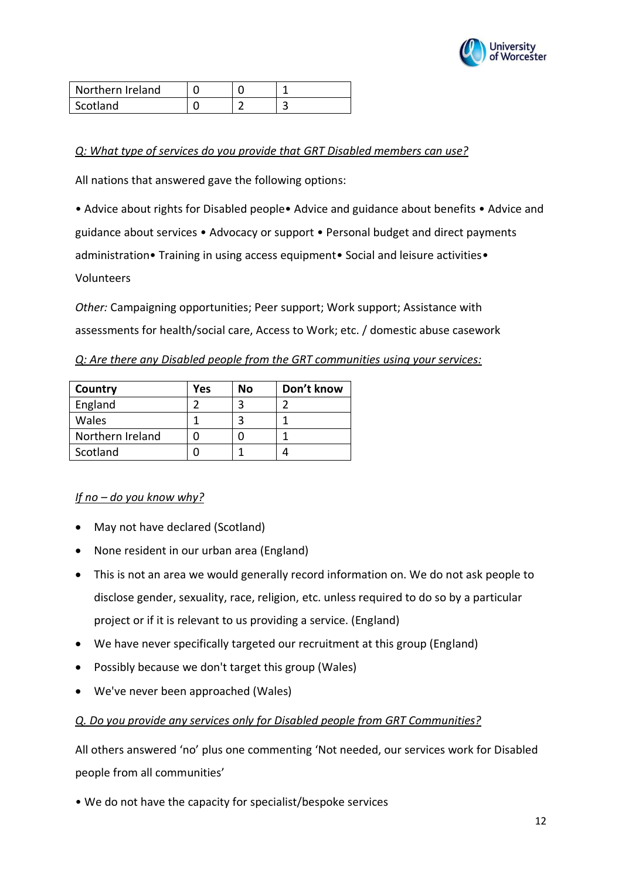

| Northern Ireland |  |    |
|------------------|--|----|
| Scotland         |  | ш. |

*Q: What type of services do you provide that GRT Disabled members can use?*

All nations that answered gave the following options:

• Advice about rights for Disabled people• Advice and guidance about benefits • Advice and guidance about services • Advocacy or support • Personal budget and direct payments administration• Training in using access equipment• Social and leisure activities• Volunteers

*Other:* Campaigning opportunities; Peer support; Work support; Assistance with assessments for health/social care, Access to Work; etc. / domestic abuse casework

| Q: Are there any Disabled people from the GRT communities using your services: |
|--------------------------------------------------------------------------------|
|--------------------------------------------------------------------------------|

| Country          | Yes | No | Don't know |
|------------------|-----|----|------------|
| England          |     |    |            |
| Wales            |     |    |            |
| Northern Ireland |     |    |            |
| Scotland         |     |    |            |

## *If no – do you know why?*

- May not have declared (Scotland)
- None resident in our urban area (England)
- This is not an area we would generally record information on. We do not ask people to disclose gender, sexuality, race, religion, etc. unless required to do so by a particular project or if it is relevant to us providing a service. (England)
- We have never specifically targeted our recruitment at this group (England)
- Possibly because we don't target this group (Wales)
- We've never been approached (Wales)

## *Q. Do you provide any services only for Disabled people from GRT Communities?*

All others answered 'no' plus one commenting 'Not needed, our services work for Disabled people from all communities'

• We do not have the capacity for specialist/bespoke services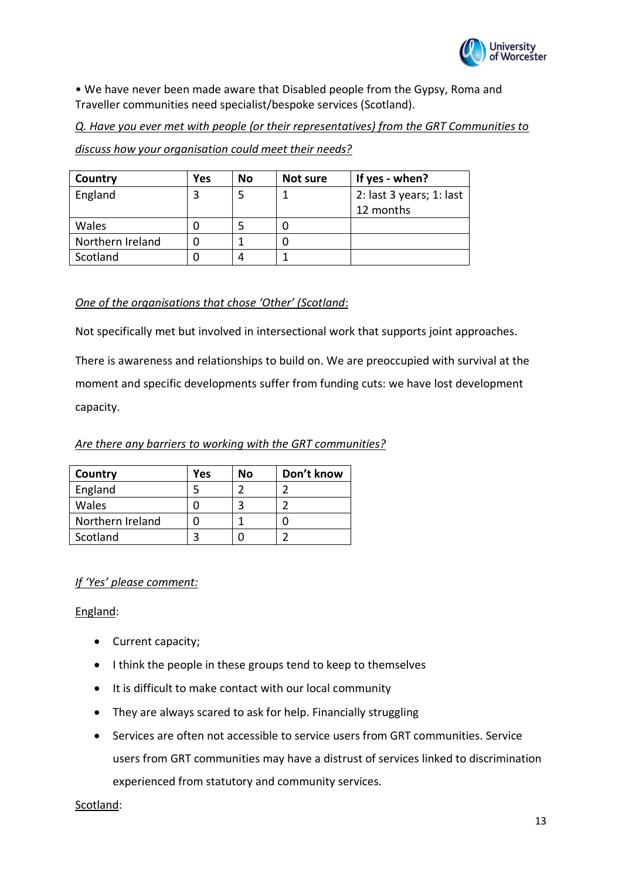

• We have never been made aware that Disabled people from the Gypsy, Roma and Traveller communities need specialist/bespoke services (Scotland).

*Q. Have you ever met with people (or their representatives) from the GRT Communities to* 

*discuss how your organisation could meet their needs?*

| Country          | Yes | No | Not sure | If yes - when?           |
|------------------|-----|----|----------|--------------------------|
| England          |     |    |          | 2: last 3 years; 1: last |
|                  |     |    |          | 12 months                |
| Wales            |     |    |          |                          |
| Northern Ireland |     |    | 0        |                          |
| Scotland         |     |    |          |                          |

## *One of the organisations that chose 'Other' (Scotland*:

Not specifically met but involved in intersectional work that supports joint approaches.

There is awareness and relationships to build on. We are preoccupied with survival at the moment and specific developments suffer from funding cuts: we have lost development capacity.

| Are there any barriers to working with the GRT communities? |
|-------------------------------------------------------------|
|-------------------------------------------------------------|

| Country          | Yes | No | Don't know |
|------------------|-----|----|------------|
| England          |     |    |            |
| Wales            |     |    |            |
| Northern Ireland |     |    |            |
| Scotland         |     |    |            |

## *If 'Yes' please comment:*

England:

- Current capacity;
- I think the people in these groups tend to keep to themselves
- It is difficult to make contact with our local community
- They are always scared to ask for help. Financially struggling
- Services are often not accessible to service users from GRT communities. Service users from GRT communities may have a distrust of services linked to discrimination experienced from statutory and community services.

## Scotland: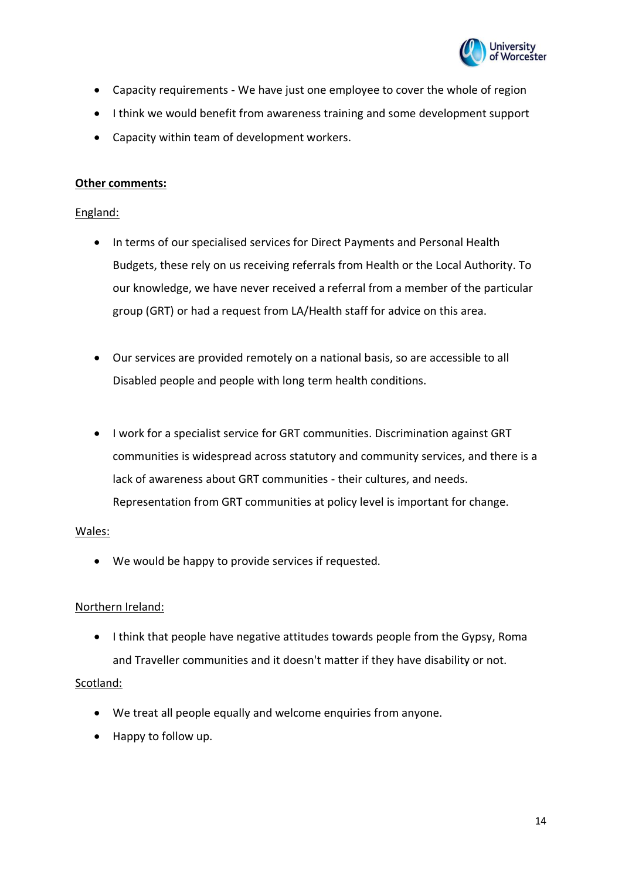

- Capacity requirements We have just one employee to cover the whole of region
- I think we would benefit from awareness training and some development support
- Capacity within team of development workers.

## **Other comments:**

## England:

- In terms of our specialised services for Direct Payments and Personal Health Budgets, these rely on us receiving referrals from Health or the Local Authority. To our knowledge, we have never received a referral from a member of the particular group (GRT) or had a request from LA/Health staff for advice on this area.
- Our services are provided remotely on a national basis, so are accessible to all Disabled people and people with long term health conditions.
- I work for a specialist service for GRT communities. Discrimination against GRT communities is widespread across statutory and community services, and there is a lack of awareness about GRT communities - their cultures, and needs. Representation from GRT communities at policy level is important for change.

## Wales:

• We would be happy to provide services if requested.

## Northern Ireland:

• I think that people have negative attitudes towards people from the Gypsy, Roma and Traveller communities and it doesn't matter if they have disability or not.

## Scotland:

- We treat all people equally and welcome enquiries from anyone.
- Happy to follow up.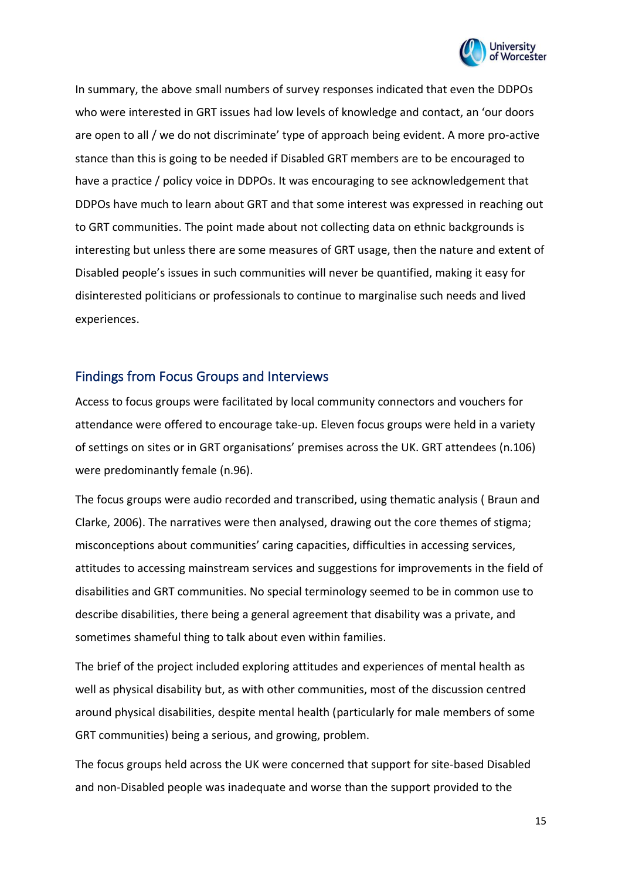

In summary, the above small numbers of survey responses indicated that even the DDPOs who were interested in GRT issues had low levels of knowledge and contact, an 'our doors are open to all / we do not discriminate' type of approach being evident. A more pro-active stance than this is going to be needed if Disabled GRT members are to be encouraged to have a practice / policy voice in DDPOs. It was encouraging to see acknowledgement that DDPOs have much to learn about GRT and that some interest was expressed in reaching out to GRT communities. The point made about not collecting data on ethnic backgrounds is interesting but unless there are some measures of GRT usage, then the nature and extent of Disabled people's issues in such communities will never be quantified, making it easy for disinterested politicians or professionals to continue to marginalise such needs and lived experiences.

## <span id="page-19-0"></span>Findings from Focus Groups and Interviews

Access to focus groups were facilitated by local community connectors and vouchers for attendance were offered to encourage take-up. Eleven focus groups were held in a variety of settings on sites or in GRT organisations' premises across the UK. GRT attendees (n.106) were predominantly female (n.96).

The focus groups were audio recorded and transcribed, using thematic analysis ( Braun and Clarke, 2006). The narratives were then analysed, drawing out the core themes of stigma; misconceptions about communities' caring capacities, difficulties in accessing services, attitudes to accessing mainstream services and suggestions for improvements in the field of disabilities and GRT communities. No special terminology seemed to be in common use to describe disabilities, there being a general agreement that disability was a private, and sometimes shameful thing to talk about even within families.

The brief of the project included exploring attitudes and experiences of mental health as well as physical disability but, as with other communities, most of the discussion centred around physical disabilities, despite mental health (particularly for male members of some GRT communities) being a serious, and growing, problem.

The focus groups held across the UK were concerned that support for site-based Disabled and non-Disabled people was inadequate and worse than the support provided to the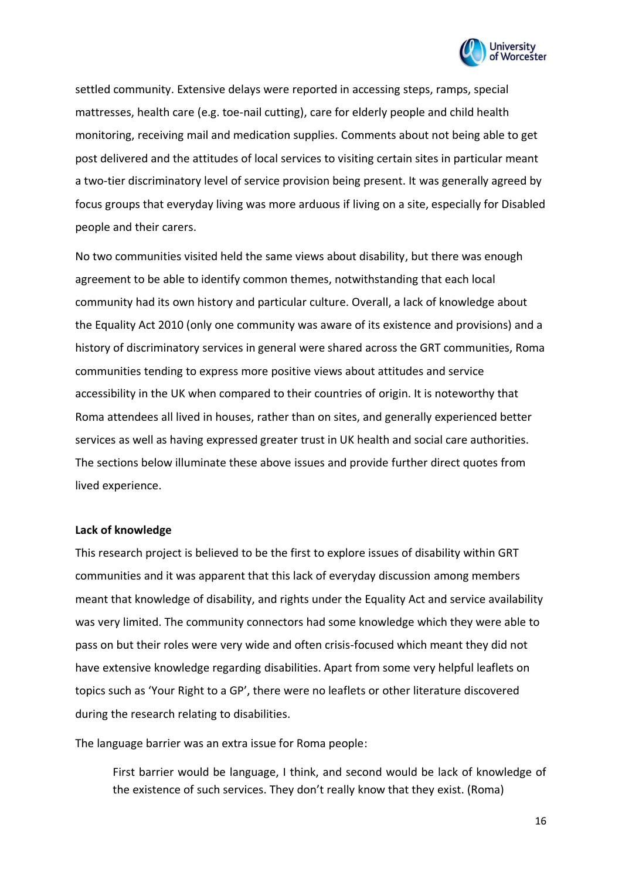

settled community. Extensive delays were reported in accessing steps, ramps, special mattresses, health care (e.g. toe-nail cutting), care for elderly people and child health monitoring, receiving mail and medication supplies. Comments about not being able to get post delivered and the attitudes of local services to visiting certain sites in particular meant a two-tier discriminatory level of service provision being present. It was generally agreed by focus groups that everyday living was more arduous if living on a site, especially for Disabled people and their carers.

No two communities visited held the same views about disability, but there was enough agreement to be able to identify common themes, notwithstanding that each local community had its own history and particular culture. Overall, a lack of knowledge about the Equality Act 2010 (only one community was aware of its existence and provisions) and a history of discriminatory services in general were shared across the GRT communities, Roma communities tending to express more positive views about attitudes and service accessibility in the UK when compared to their countries of origin. It is noteworthy that Roma attendees all lived in houses, rather than on sites, and generally experienced better services as well as having expressed greater trust in UK health and social care authorities. The sections below illuminate these above issues and provide further direct quotes from lived experience.

#### **Lack of knowledge**

This research project is believed to be the first to explore issues of disability within GRT communities and it was apparent that this lack of everyday discussion among members meant that knowledge of disability, and rights under the Equality Act and service availability was very limited. The community connectors had some knowledge which they were able to pass on but their roles were very wide and often crisis-focused which meant they did not have extensive knowledge regarding disabilities. Apart from some very helpful leaflets on topics such as 'Your Right to a GP', there were no leaflets or other literature discovered during the research relating to disabilities.

The language barrier was an extra issue for Roma people:

First barrier would be language, I think, and second would be lack of knowledge of the existence of such services. They don't really know that they exist. (Roma)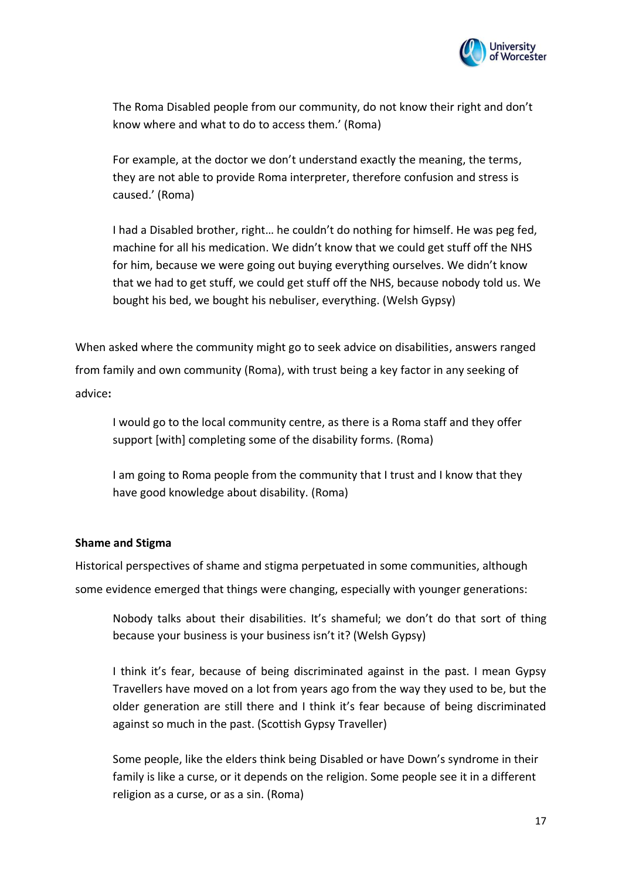

The Roma Disabled people from our community, do not know their right and don't know where and what to do to access them.' (Roma)

For example, at the doctor we don't understand exactly the meaning, the terms, they are not able to provide Roma interpreter, therefore confusion and stress is caused.' (Roma)

I had a Disabled brother, right… he couldn't do nothing for himself. He was peg fed, machine for all his medication. We didn't know that we could get stuff off the NHS for him, because we were going out buying everything ourselves. We didn't know that we had to get stuff, we could get stuff off the NHS, because nobody told us. We bought his bed, we bought his nebuliser, everything. (Welsh Gypsy)

When asked where the community might go to seek advice on disabilities, answers ranged from family and own community (Roma), with trust being a key factor in any seeking of advice**:**

I would go to the local community centre, as there is a Roma staff and they offer support [with] completing some of the disability forms. (Roma)

I am going to Roma people from the community that I trust and I know that they have good knowledge about disability. (Roma)

## **Shame and Stigma**

Historical perspectives of shame and stigma perpetuated in some communities, although some evidence emerged that things were changing, especially with younger generations:

Nobody talks about their disabilities. It's shameful; we don't do that sort of thing because your business is your business isn't it? (Welsh Gypsy)

I think it's fear, because of being discriminated against in the past. I mean Gypsy Travellers have moved on a lot from years ago from the way they used to be, but the older generation are still there and I think it's fear because of being discriminated against so much in the past. (Scottish Gypsy Traveller)

Some people, like the elders think being Disabled or have Down's syndrome in their family is like a curse, or it depends on the religion. Some people see it in a different religion as a curse, or as a sin. (Roma)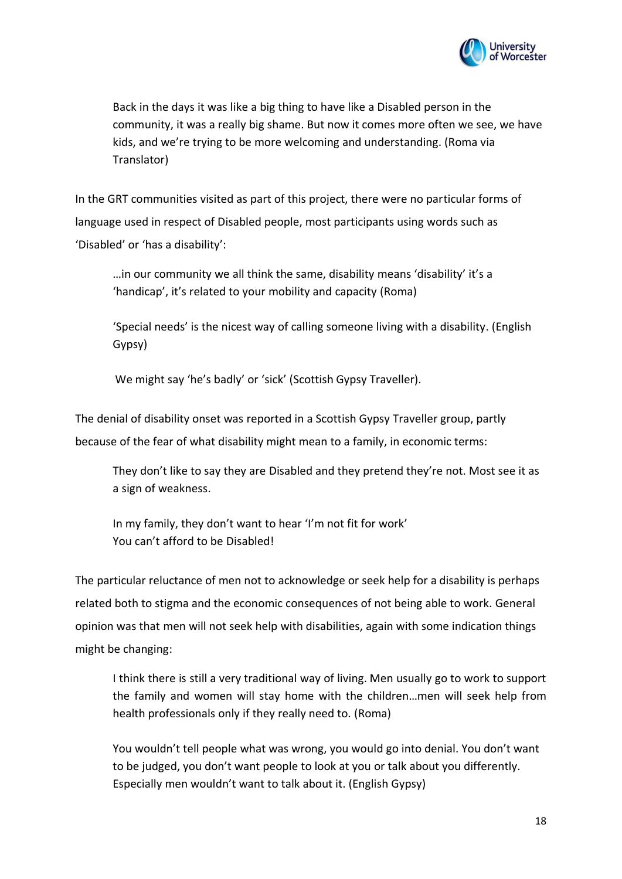

Back in the days it was like a big thing to have like a Disabled person in the community, it was a really big shame. But now it comes more often we see, we have kids, and we're trying to be more welcoming and understanding. (Roma via Translator)

In the GRT communities visited as part of this project, there were no particular forms of language used in respect of Disabled people, most participants using words such as 'Disabled' or 'has a disability':

…in our community we all think the same, disability means 'disability' it's a 'handicap', it's related to your mobility and capacity (Roma)

'Special needs' is the nicest way of calling someone living with a disability. (English Gypsy)

We might say 'he's badly' or 'sick' (Scottish Gypsy Traveller).

The denial of disability onset was reported in a Scottish Gypsy Traveller group, partly because of the fear of what disability might mean to a family, in economic terms:

They don't like to say they are Disabled and they pretend they're not. Most see it as a sign of weakness.

In my family, they don't want to hear 'I'm not fit for work' You can't afford to be Disabled!

The particular reluctance of men not to acknowledge or seek help for a disability is perhaps related both to stigma and the economic consequences of not being able to work. General opinion was that men will not seek help with disabilities, again with some indication things might be changing:

I think there is still a very traditional way of living. Men usually go to work to support the family and women will stay home with the children…men will seek help from health professionals only if they really need to. (Roma)

You wouldn't tell people what was wrong, you would go into denial. You don't want to be judged, you don't want people to look at you or talk about you differently. Especially men wouldn't want to talk about it. (English Gypsy)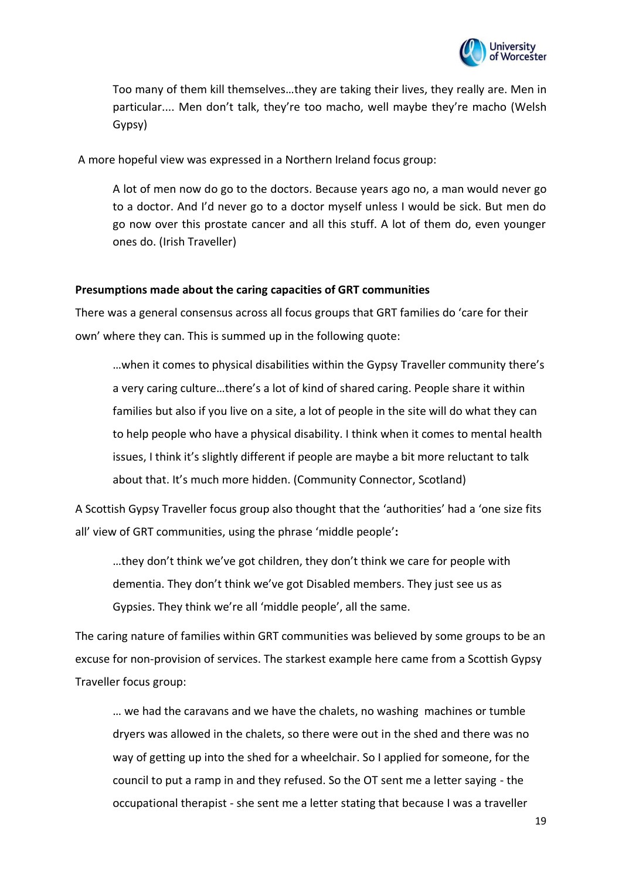

Too many of them kill themselves…they are taking their lives, they really are. Men in particular.... Men don't talk, they're too macho, well maybe they're macho (Welsh Gypsy)

A more hopeful view was expressed in a Northern Ireland focus group:

A lot of men now do go to the doctors. Because years ago no, a man would never go to a doctor. And I'd never go to a doctor myself unless I would be sick. But men do go now over this prostate cancer and all this stuff. A lot of them do, even younger ones do. (Irish Traveller)

#### **Presumptions made about the caring capacities of GRT communities**

There was a general consensus across all focus groups that GRT families do 'care for their own' where they can. This is summed up in the following quote:

…when it comes to physical disabilities within the Gypsy Traveller community there's a very caring culture…there's a lot of kind of shared caring. People share it within families but also if you live on a site, a lot of people in the site will do what they can to help people who have a physical disability. I think when it comes to mental health issues, I think it's slightly different if people are maybe a bit more reluctant to talk about that. It's much more hidden. (Community Connector, Scotland)

A Scottish Gypsy Traveller focus group also thought that the 'authorities' had a 'one size fits all' view of GRT communities, using the phrase 'middle people'**:**

…they don't think we've got children, they don't think we care for people with dementia. They don't think we've got Disabled members. They just see us as Gypsies. They think we're all 'middle people', all the same.

The caring nature of families within GRT communities was believed by some groups to be an excuse for non-provision of services. The starkest example here came from a Scottish Gypsy Traveller focus group:

… we had the caravans and we have the chalets, no washing machines or tumble dryers was allowed in the chalets, so there were out in the shed and there was no way of getting up into the shed for a wheelchair. So I applied for someone, for the council to put a ramp in and they refused. So the OT sent me a letter saying - the occupational therapist - she sent me a letter stating that because I was a traveller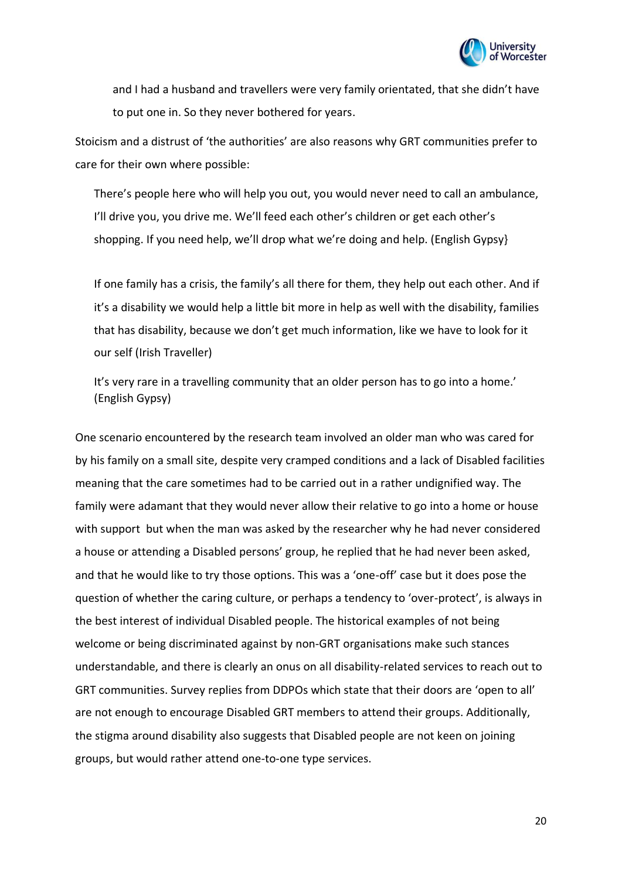

and I had a husband and travellers were very family orientated, that she didn't have to put one in. So they never bothered for years.

Stoicism and a distrust of 'the authorities' are also reasons why GRT communities prefer to care for their own where possible:

There's people here who will help you out, you would never need to call an ambulance, I'll drive you, you drive me. We'll feed each other's children or get each other's shopping. If you need help, we'll drop what we're doing and help. (English Gypsy}

If one family has a crisis, the family's all there for them, they help out each other. And if it's a disability we would help a little bit more in help as well with the disability, families that has disability, because we don't get much information, like we have to look for it our self (Irish Traveller)

It's very rare in a travelling community that an older person has to go into a home.' (English Gypsy)

One scenario encountered by the research team involved an older man who was cared for by his family on a small site, despite very cramped conditions and a lack of Disabled facilities meaning that the care sometimes had to be carried out in a rather undignified way. The family were adamant that they would never allow their relative to go into a home or house with support but when the man was asked by the researcher why he had never considered a house or attending a Disabled persons' group, he replied that he had never been asked, and that he would like to try those options. This was a 'one-off' case but it does pose the question of whether the caring culture, or perhaps a tendency to 'over-protect', is always in the best interest of individual Disabled people. The historical examples of not being welcome or being discriminated against by non-GRT organisations make such stances understandable, and there is clearly an onus on all disability-related services to reach out to GRT communities. Survey replies from DDPOs which state that their doors are 'open to all' are not enough to encourage Disabled GRT members to attend their groups. Additionally, the stigma around disability also suggests that Disabled people are not keen on joining groups, but would rather attend one-to-one type services.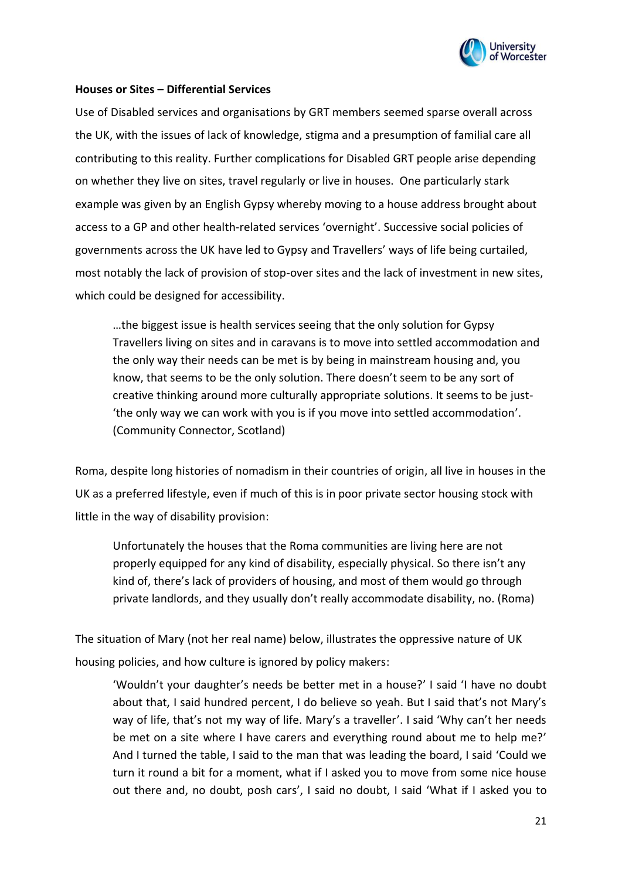

## **Houses or Sites – Differential Services**

Use of Disabled services and organisations by GRT members seemed sparse overall across the UK, with the issues of lack of knowledge, stigma and a presumption of familial care all contributing to this reality. Further complications for Disabled GRT people arise depending on whether they live on sites, travel regularly or live in houses. One particularly stark example was given by an English Gypsy whereby moving to a house address brought about access to a GP and other health-related services 'overnight'. Successive social policies of governments across the UK have led to Gypsy and Travellers' ways of life being curtailed, most notably the lack of provision of stop-over sites and the lack of investment in new sites, which could be designed for accessibility.

…the biggest issue is health services seeing that the only solution for Gypsy Travellers living on sites and in caravans is to move into settled accommodation and the only way their needs can be met is by being in mainstream housing and, you know, that seems to be the only solution. There doesn't seem to be any sort of creative thinking around more culturally appropriate solutions. It seems to be just- 'the only way we can work with you is if you move into settled accommodation'. (Community Connector, Scotland)

Roma, despite long histories of nomadism in their countries of origin, all live in houses in the UK as a preferred lifestyle, even if much of this is in poor private sector housing stock with little in the way of disability provision:

Unfortunately the houses that the Roma communities are living here are not properly equipped for any kind of disability, especially physical. So there isn't any kind of, there's lack of providers of housing, and most of them would go through private landlords, and they usually don't really accommodate disability, no. (Roma)

The situation of Mary (not her real name) below, illustrates the oppressive nature of UK housing policies, and how culture is ignored by policy makers:

'Wouldn't your daughter's needs be better met in a house?' I said 'I have no doubt about that, I said hundred percent, I do believe so yeah. But I said that's not Mary's way of life, that's not my way of life. Mary's a traveller'. I said 'Why can't her needs be met on a site where I have carers and everything round about me to help me?' And I turned the table, I said to the man that was leading the board, I said 'Could we turn it round a bit for a moment, what if I asked you to move from some nice house out there and, no doubt, posh cars', I said no doubt, I said 'What if I asked you to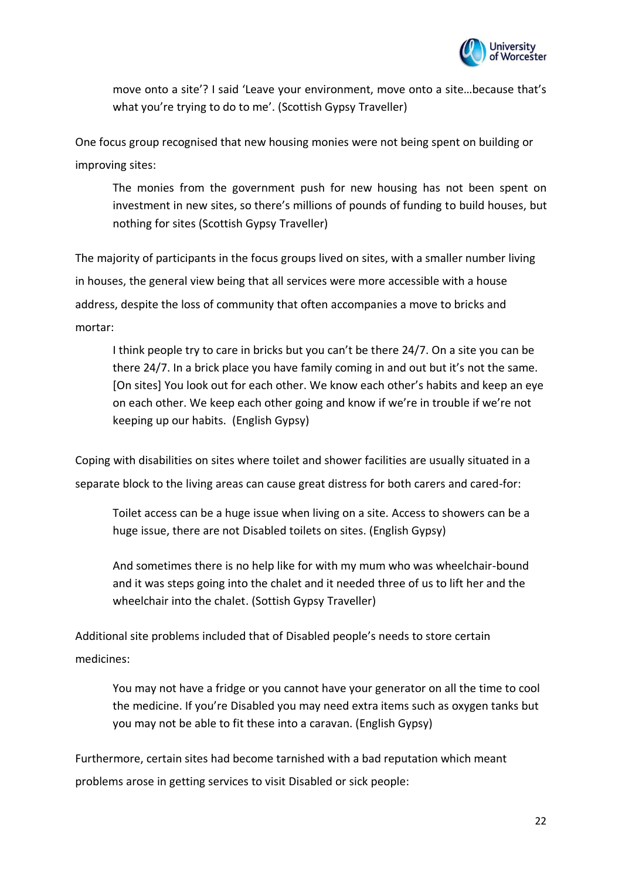

move onto a site'? I said 'Leave your environment, move onto a site…because that's what you're trying to do to me'. (Scottish Gypsy Traveller)

One focus group recognised that new housing monies were not being spent on building or improving sites:

The monies from the government push for new housing has not been spent on investment in new sites, so there's millions of pounds of funding to build houses, but nothing for sites (Scottish Gypsy Traveller)

The majority of participants in the focus groups lived on sites, with a smaller number living in houses, the general view being that all services were more accessible with a house address, despite the loss of community that often accompanies a move to bricks and mortar:

I think people try to care in bricks but you can't be there 24/7. On a site you can be there 24/7. In a brick place you have family coming in and out but it's not the same. [On sites] You look out for each other. We know each other's habits and keep an eye on each other. We keep each other going and know if we're in trouble if we're not keeping up our habits. (English Gypsy)

Coping with disabilities on sites where toilet and shower facilities are usually situated in a separate block to the living areas can cause great distress for both carers and cared-for:

Toilet access can be a huge issue when living on a site. Access to showers can be a huge issue, there are not Disabled toilets on sites. (English Gypsy)

And sometimes there is no help like for with my mum who was wheelchair-bound and it was steps going into the chalet and it needed three of us to lift her and the wheelchair into the chalet. (Sottish Gypsy Traveller)

Additional site problems included that of Disabled people's needs to store certain medicines:

You may not have a fridge or you cannot have your generator on all the time to cool the medicine. If you're Disabled you may need extra items such as oxygen tanks but you may not be able to fit these into a caravan. (English Gypsy)

Furthermore, certain sites had become tarnished with a bad reputation which meant problems arose in getting services to visit Disabled or sick people: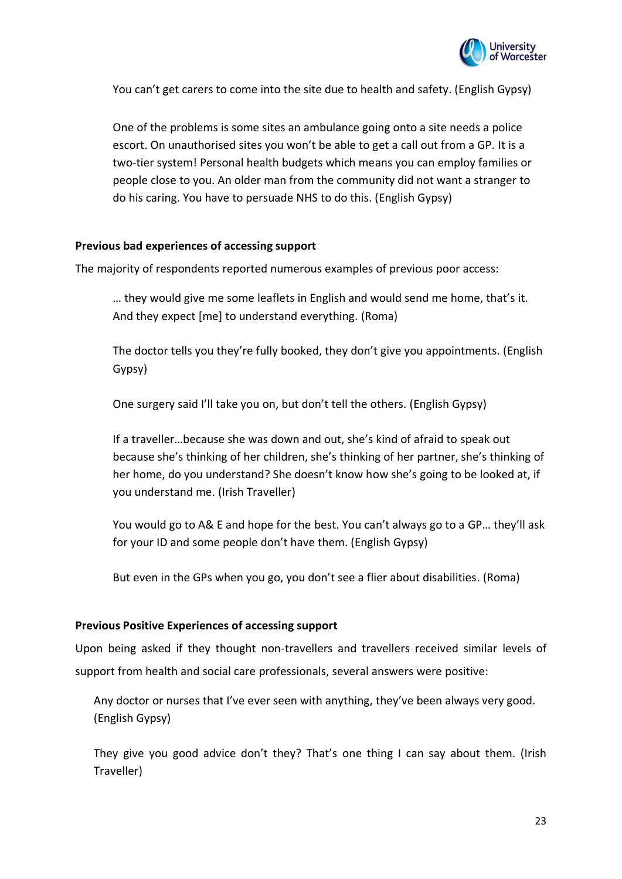

You can't get carers to come into the site due to health and safety. (English Gypsy)

One of the problems is some sites an ambulance going onto a site needs a police escort. On unauthorised sites you won't be able to get a call out from a GP. It is a two-tier system! Personal health budgets which means you can employ families or people close to you. An older man from the community did not want a stranger to do his caring. You have to persuade NHS to do this. (English Gypsy)

#### **Previous bad experiences of accessing support**

The majority of respondents reported numerous examples of previous poor access:

… they would give me some leaflets in English and would send me home, that's it. And they expect [me] to understand everything. (Roma)

The doctor tells you they're fully booked, they don't give you appointments. (English Gypsy)

One surgery said I'll take you on, but don't tell the others. (English Gypsy)

If a traveller…because she was down and out, she's kind of afraid to speak out because she's thinking of her children, she's thinking of her partner, she's thinking of her home, do you understand? She doesn't know how she's going to be looked at, if you understand me. (Irish Traveller)

You would go to A& E and hope for the best. You can't always go to a GP… they'll ask for your ID and some people don't have them. (English Gypsy)

But even in the GPs when you go, you don't see a flier about disabilities. (Roma)

#### **Previous Positive Experiences of accessing support**

Upon being asked if they thought non-travellers and travellers received similar levels of support from health and social care professionals, several answers were positive:

Any doctor or nurses that I've ever seen with anything, they've been always very good. (English Gypsy)

They give you good advice don't they? That's one thing I can say about them. (Irish Traveller)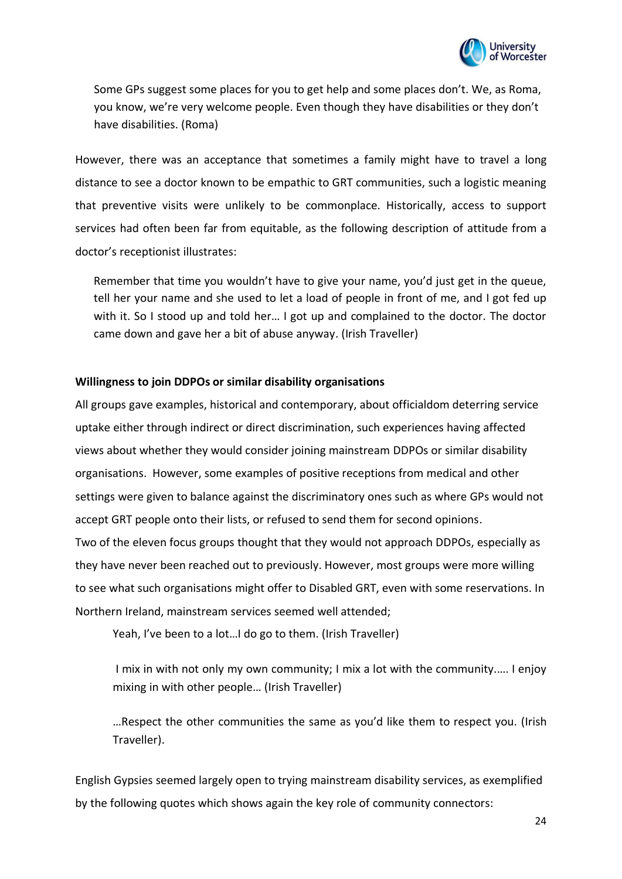

Some GPs suggest some places for you to get help and some places don't. We, as Roma, you know, we're very welcome people. Even though they have disabilities or they don't have disabilities. (Roma)

However, there was an acceptance that sometimes a family might have to travel a long distance to see a doctor known to be empathic to GRT communities, such a logistic meaning that preventive visits were unlikely to be commonplace. Historically, access to support services had often been far from equitable, as the following description of attitude from a doctor's receptionist illustrates:

Remember that time you wouldn't have to give your name, you'd just get in the queue, tell her your name and she used to let a load of people in front of me, and I got fed up with it. So I stood up and told her… I got up and complained to the doctor. The doctor came down and gave her a bit of abuse anyway. (Irish Traveller)

#### **Willingness to join DDPOs or similar disability organisations**

All groups gave examples, historical and contemporary, about officialdom deterring service uptake either through indirect or direct discrimination, such experiences having affected views about whether they would consider joining mainstream DDPOs or similar disability organisations. However, some examples of positive receptions from medical and other settings were given to balance against the discriminatory ones such as where GPs would not accept GRT people onto their lists, or refused to send them for second opinions.

Two of the eleven focus groups thought that they would not approach DDPOs, especially as they have never been reached out to previously. However, most groups were more willing to see what such organisations might offer to Disabled GRT, even with some reservations. In Northern Ireland, mainstream services seemed well attended;

Yeah, I've been to a lot…I do go to them. (Irish Traveller)

I mix in with not only my own community; I mix a lot with the community.…. I enjoy mixing in with other people… (Irish Traveller)

…Respect the other communities the same as you'd like them to respect you. (Irish Traveller).

English Gypsies seemed largely open to trying mainstream disability services, as exemplified by the following quotes which shows again the key role of community connectors: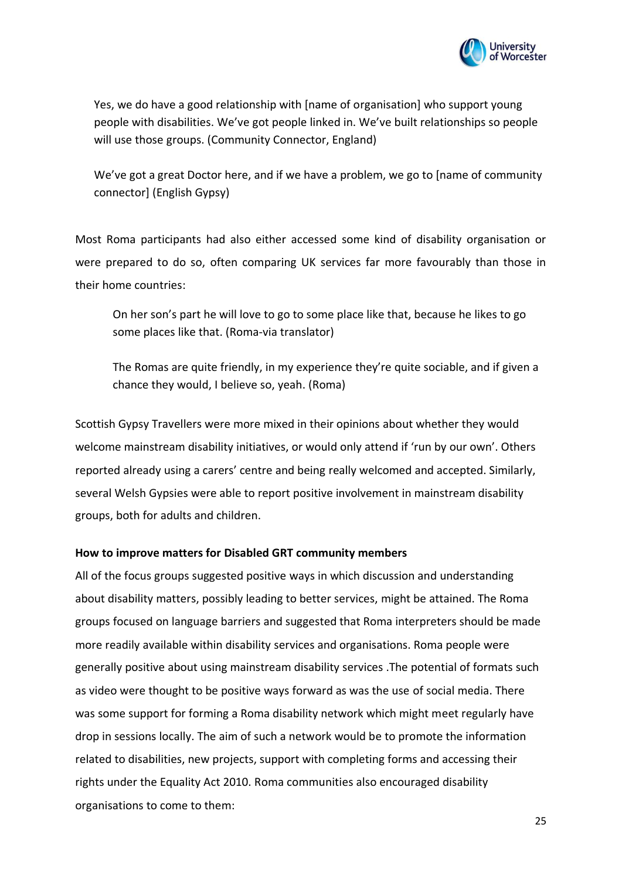

Yes, we do have a good relationship with [name of organisation] who support young people with disabilities. We've got people linked in. We've built relationships so people will use those groups. (Community Connector, England)

We've got a great Doctor here, and if we have a problem, we go to [name of community connector] (English Gypsy)

Most Roma participants had also either accessed some kind of disability organisation or were prepared to do so, often comparing UK services far more favourably than those in their home countries:

On her son's part he will love to go to some place like that, because he likes to go some places like that. (Roma-via translator)

The Romas are quite friendly, in my experience they're quite sociable, and if given a chance they would, I believe so, yeah. (Roma)

Scottish Gypsy Travellers were more mixed in their opinions about whether they would welcome mainstream disability initiatives, or would only attend if 'run by our own'. Others reported already using a carers' centre and being really welcomed and accepted. Similarly, several Welsh Gypsies were able to report positive involvement in mainstream disability groups, both for adults and children.

## **How to improve matters for Disabled GRT community members**

All of the focus groups suggested positive ways in which discussion and understanding about disability matters, possibly leading to better services, might be attained. The Roma groups focused on language barriers and suggested that Roma interpreters should be made more readily available within disability services and organisations. Roma people were generally positive about using mainstream disability services .The potential of formats such as video were thought to be positive ways forward as was the use of social media. There was some support for forming a Roma disability network which might meet regularly have drop in sessions locally. The aim of such a network would be to promote the information related to disabilities, new projects, support with completing forms and accessing their rights under the Equality Act 2010. Roma communities also encouraged disability organisations to come to them: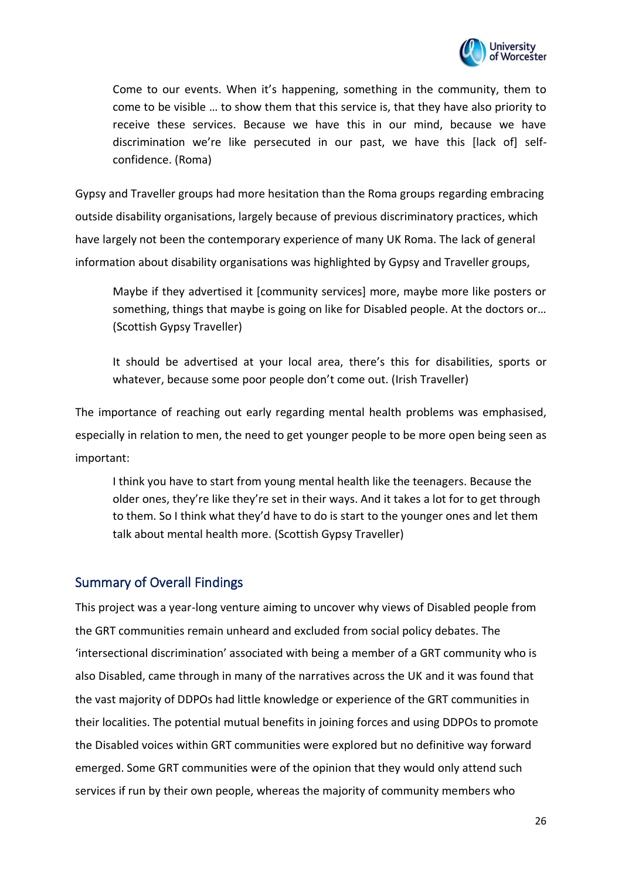

Come to our events. When it's happening, something in the community, them to come to be visible … to show them that this service is, that they have also priority to receive these services. Because we have this in our mind, because we have discrimination we're like persecuted in our past, we have this [lack of] selfconfidence. (Roma)

Gypsy and Traveller groups had more hesitation than the Roma groups regarding embracing outside disability organisations, largely because of previous discriminatory practices, which have largely not been the contemporary experience of many UK Roma. The lack of general information about disability organisations was highlighted by Gypsy and Traveller groups,

Maybe if they advertised it [community services] more, maybe more like posters or something, things that maybe is going on like for Disabled people. At the doctors or… (Scottish Gypsy Traveller)

It should be advertised at your local area, there's this for disabilities, sports or whatever, because some poor people don't come out. (Irish Traveller)

The importance of reaching out early regarding mental health problems was emphasised, especially in relation to men, the need to get younger people to be more open being seen as important:

I think you have to start from young mental health like the teenagers. Because the older ones, they're like they're set in their ways. And it takes a lot for to get through to them. So I think what they'd have to do is start to the younger ones and let them talk about mental health more. (Scottish Gypsy Traveller)

## <span id="page-30-0"></span>Summary of Overall Findings

This project was a year-long venture aiming to uncover why views of Disabled people from the GRT communities remain unheard and excluded from social policy debates. The 'intersectional discrimination' associated with being a member of a GRT community who is also Disabled, came through in many of the narratives across the UK and it was found that the vast majority of DDPOs had little knowledge or experience of the GRT communities in their localities. The potential mutual benefits in joining forces and using DDPOs to promote the Disabled voices within GRT communities were explored but no definitive way forward emerged. Some GRT communities were of the opinion that they would only attend such services if run by their own people, whereas the majority of community members who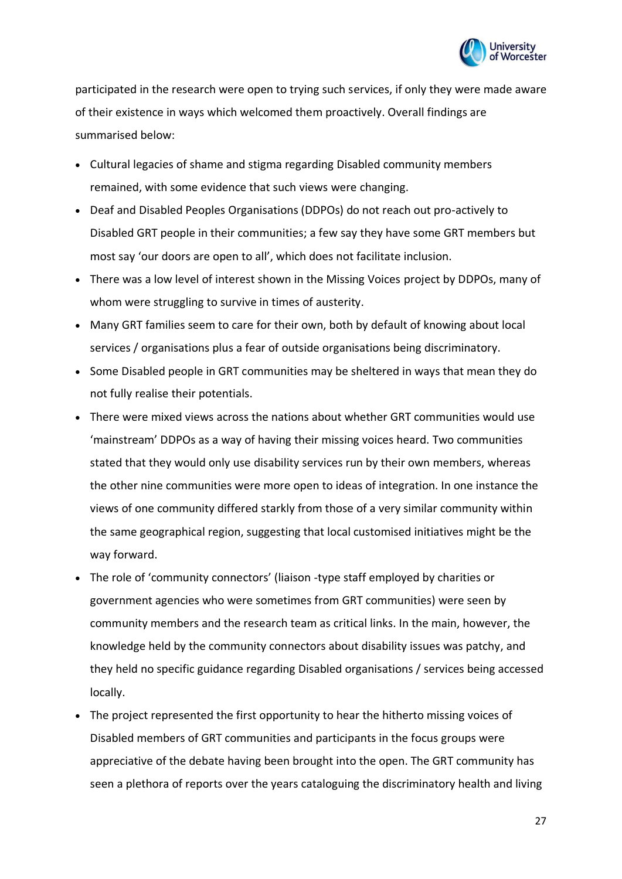

participated in the research were open to trying such services, if only they were made aware of their existence in ways which welcomed them proactively. Overall findings are summarised below:

- Cultural legacies of shame and stigma regarding Disabled community members remained, with some evidence that such views were changing.
- Deaf and Disabled Peoples Organisations (DDPOs) do not reach out pro-actively to Disabled GRT people in their communities; a few say they have some GRT members but most say 'our doors are open to all', which does not facilitate inclusion.
- There was a low level of interest shown in the Missing Voices project by DDPOs, many of whom were struggling to survive in times of austerity.
- Many GRT families seem to care for their own, both by default of knowing about local services / organisations plus a fear of outside organisations being discriminatory.
- Some Disabled people in GRT communities may be sheltered in ways that mean they do not fully realise their potentials.
- There were mixed views across the nations about whether GRT communities would use 'mainstream' DDPOs as a way of having their missing voices heard. Two communities stated that they would only use disability services run by their own members, whereas the other nine communities were more open to ideas of integration. In one instance the views of one community differed starkly from those of a very similar community within the same geographical region, suggesting that local customised initiatives might be the way forward.
- The role of 'community connectors' (liaison -type staff employed by charities or government agencies who were sometimes from GRT communities) were seen by community members and the research team as critical links. In the main, however, the knowledge held by the community connectors about disability issues was patchy, and they held no specific guidance regarding Disabled organisations / services being accessed locally.
- The project represented the first opportunity to hear the hitherto missing voices of Disabled members of GRT communities and participants in the focus groups were appreciative of the debate having been brought into the open. The GRT community has seen a plethora of reports over the years cataloguing the discriminatory health and living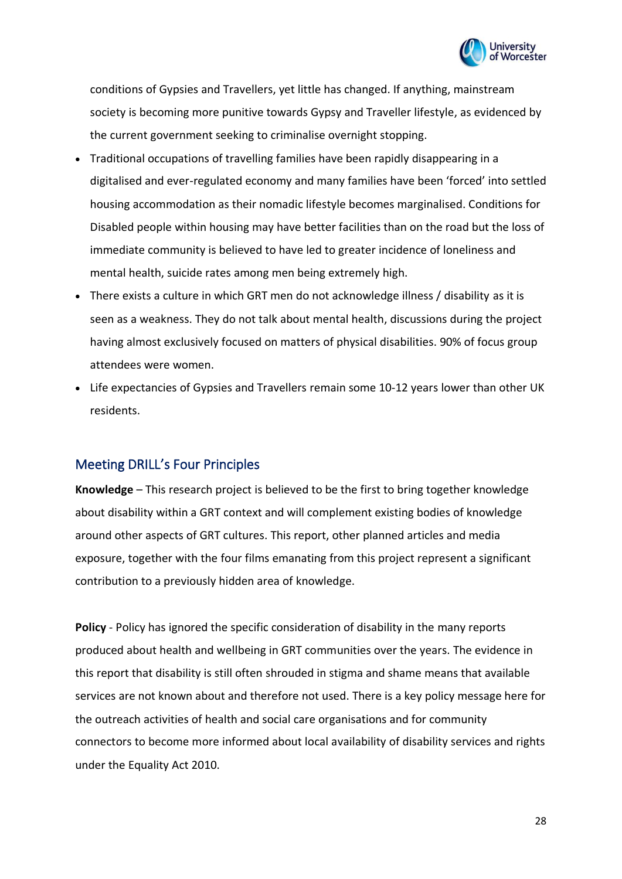

conditions of Gypsies and Travellers, yet little has changed. If anything, mainstream society is becoming more punitive towards Gypsy and Traveller lifestyle, as evidenced by the current government seeking to criminalise overnight stopping.

- Traditional occupations of travelling families have been rapidly disappearing in a digitalised and ever-regulated economy and many families have been 'forced' into settled housing accommodation as their nomadic lifestyle becomes marginalised. Conditions for Disabled people within housing may have better facilities than on the road but the loss of immediate community is believed to have led to greater incidence of loneliness and mental health, suicide rates among men being extremely high.
- There exists a culture in which GRT men do not acknowledge illness / disability as it is seen as a weakness. They do not talk about mental health, discussions during the project having almost exclusively focused on matters of physical disabilities. 90% of focus group attendees were women.
- Life expectancies of Gypsies and Travellers remain some 10-12 years lower than other UK residents.

## <span id="page-32-0"></span>Meeting DRILL's Four Principles

**Knowledge** – This research project is believed to be the first to bring together knowledge about disability within a GRT context and will complement existing bodies of knowledge around other aspects of GRT cultures. This report, other planned articles and media exposure, together with the four films emanating from this project represent a significant contribution to a previously hidden area of knowledge.

**Policy** - Policy has ignored the specific consideration of disability in the many reports produced about health and wellbeing in GRT communities over the years. The evidence in this report that disability is still often shrouded in stigma and shame means that available services are not known about and therefore not used. There is a key policy message here for the outreach activities of health and social care organisations and for community connectors to become more informed about local availability of disability services and rights under the Equality Act 2010.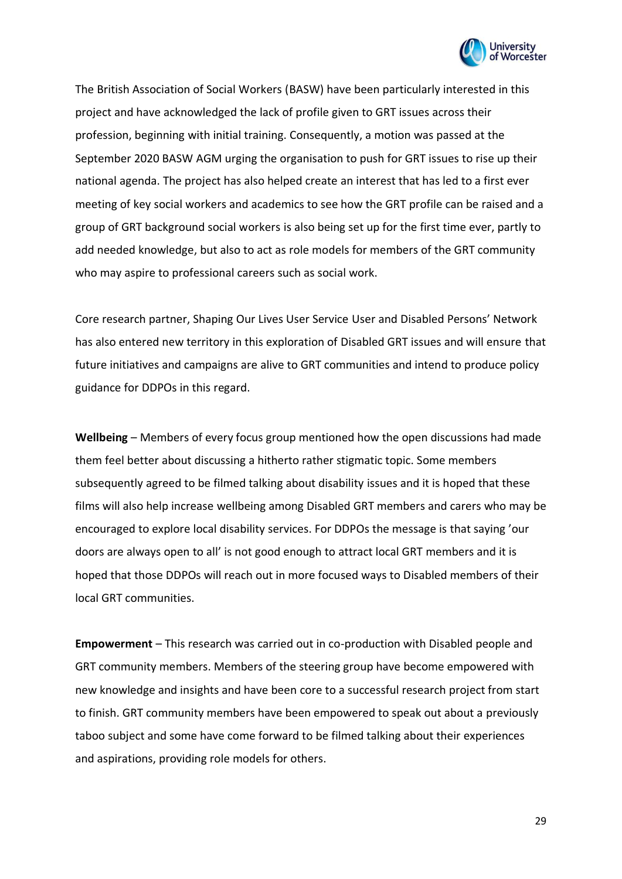

The British Association of Social Workers (BASW) have been particularly interested in this project and have acknowledged the lack of profile given to GRT issues across their profession, beginning with initial training. Consequently, a motion was passed at the September 2020 BASW AGM urging the organisation to push for GRT issues to rise up their national agenda. The project has also helped create an interest that has led to a first ever meeting of key social workers and academics to see how the GRT profile can be raised and a group of GRT background social workers is also being set up for the first time ever, partly to add needed knowledge, but also to act as role models for members of the GRT community who may aspire to professional careers such as social work.

Core research partner, Shaping Our Lives User Service User and Disabled Persons' Network has also entered new territory in this exploration of Disabled GRT issues and will ensure that future initiatives and campaigns are alive to GRT communities and intend to produce policy guidance for DDPOs in this regard.

**Wellbeing** – Members of every focus group mentioned how the open discussions had made them feel better about discussing a hitherto rather stigmatic topic. Some members subsequently agreed to be filmed talking about disability issues and it is hoped that these films will also help increase wellbeing among Disabled GRT members and carers who may be encouraged to explore local disability services. For DDPOs the message is that saying 'our doors are always open to all' is not good enough to attract local GRT members and it is hoped that those DDPOs will reach out in more focused ways to Disabled members of their local GRT communities.

**Empowerment** – This research was carried out in co-production with Disabled people and GRT community members. Members of the steering group have become empowered with new knowledge and insights and have been core to a successful research project from start to finish. GRT community members have been empowered to speak out about a previously taboo subject and some have come forward to be filmed talking about their experiences and aspirations, providing role models for others.

29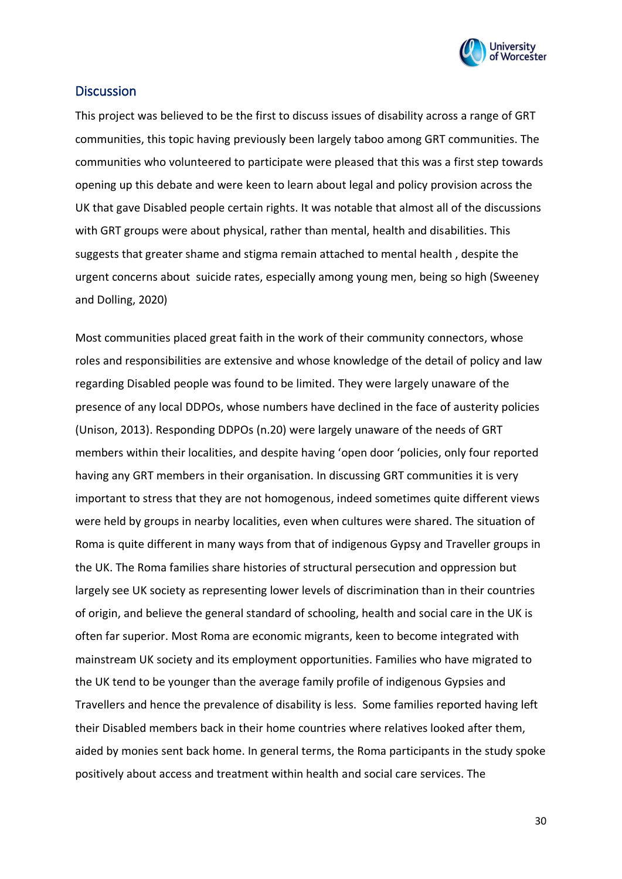

## <span id="page-34-0"></span>**Discussion**

This project was believed to be the first to discuss issues of disability across a range of GRT communities, this topic having previously been largely taboo among GRT communities. The communities who volunteered to participate were pleased that this was a first step towards opening up this debate and were keen to learn about legal and policy provision across the UK that gave Disabled people certain rights. It was notable that almost all of the discussions with GRT groups were about physical, rather than mental, health and disabilities. This suggests that greater shame and stigma remain attached to mental health , despite the urgent concerns about suicide rates, especially among young men, being so high (Sweeney and Dolling, 2020)

Most communities placed great faith in the work of their community connectors, whose roles and responsibilities are extensive and whose knowledge of the detail of policy and law regarding Disabled people was found to be limited. They were largely unaware of the presence of any local DDPOs, whose numbers have declined in the face of austerity policies (Unison, 2013). Responding DDPOs (n.20) were largely unaware of the needs of GRT members within their localities, and despite having 'open door 'policies, only four reported having any GRT members in their organisation. In discussing GRT communities it is very important to stress that they are not homogenous, indeed sometimes quite different views were held by groups in nearby localities, even when cultures were shared. The situation of Roma is quite different in many ways from that of indigenous Gypsy and Traveller groups in the UK. The Roma families share histories of structural persecution and oppression but largely see UK society as representing lower levels of discrimination than in their countries of origin, and believe the general standard of schooling, health and social care in the UK is often far superior. Most Roma are economic migrants, keen to become integrated with mainstream UK society and its employment opportunities. Families who have migrated to the UK tend to be younger than the average family profile of indigenous Gypsies and Travellers and hence the prevalence of disability is less. Some families reported having left their Disabled members back in their home countries where relatives looked after them, aided by monies sent back home. In general terms, the Roma participants in the study spoke positively about access and treatment within health and social care services. The

30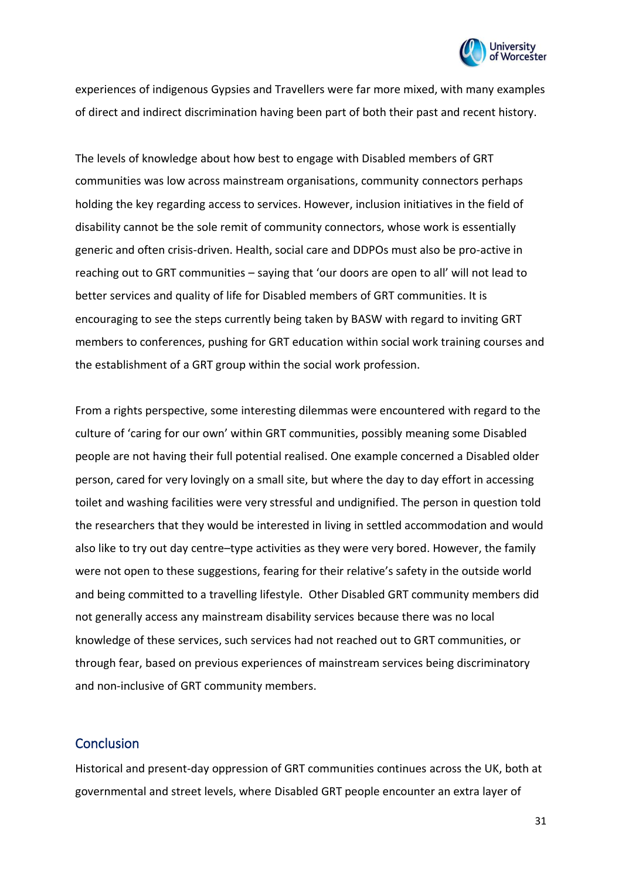

experiences of indigenous Gypsies and Travellers were far more mixed, with many examples of direct and indirect discrimination having been part of both their past and recent history.

The levels of knowledge about how best to engage with Disabled members of GRT communities was low across mainstream organisations, community connectors perhaps holding the key regarding access to services. However, inclusion initiatives in the field of disability cannot be the sole remit of community connectors, whose work is essentially generic and often crisis-driven. Health, social care and DDPOs must also be pro-active in reaching out to GRT communities – saying that 'our doors are open to all' will not lead to better services and quality of life for Disabled members of GRT communities. It is encouraging to see the steps currently being taken by BASW with regard to inviting GRT members to conferences, pushing for GRT education within social work training courses and the establishment of a GRT group within the social work profession.

From a rights perspective, some interesting dilemmas were encountered with regard to the culture of 'caring for our own' within GRT communities, possibly meaning some Disabled people are not having their full potential realised. One example concerned a Disabled older person, cared for very lovingly on a small site, but where the day to day effort in accessing toilet and washing facilities were very stressful and undignified. The person in question told the researchers that they would be interested in living in settled accommodation and would also like to try out day centre–type activities as they were very bored. However, the family were not open to these suggestions, fearing for their relative's safety in the outside world and being committed to a travelling lifestyle. Other Disabled GRT community members did not generally access any mainstream disability services because there was no local knowledge of these services, such services had not reached out to GRT communities, or through fear, based on previous experiences of mainstream services being discriminatory and non-inclusive of GRT community members.

## <span id="page-35-0"></span>**Conclusion**

Historical and present-day oppression of GRT communities continues across the UK, both at governmental and street levels, where Disabled GRT people encounter an extra layer of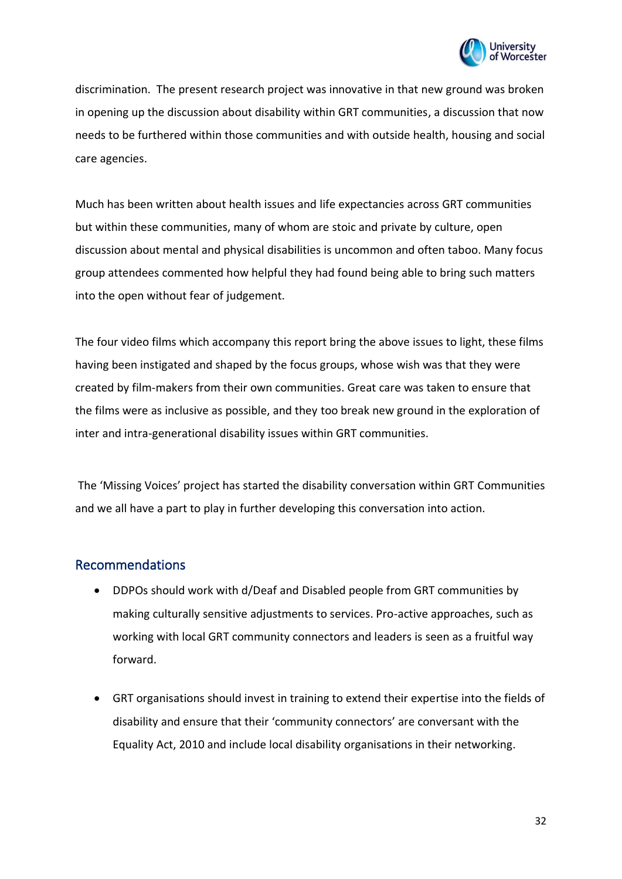

discrimination. The present research project was innovative in that new ground was broken in opening up the discussion about disability within GRT communities, a discussion that now needs to be furthered within those communities and with outside health, housing and social care agencies.

Much has been written about health issues and life expectancies across GRT communities but within these communities, many of whom are stoic and private by culture, open discussion about mental and physical disabilities is uncommon and often taboo. Many focus group attendees commented how helpful they had found being able to bring such matters into the open without fear of judgement.

The four video films which accompany this report bring the above issues to light, these films having been instigated and shaped by the focus groups, whose wish was that they were created by film-makers from their own communities. Great care was taken to ensure that the films were as inclusive as possible, and they too break new ground in the exploration of inter and intra-generational disability issues within GRT communities.

The 'Missing Voices' project has started the disability conversation within GRT Communities and we all have a part to play in further developing this conversation into action.

## <span id="page-36-0"></span>Recommendations

- DDPOs should work with d/Deaf and Disabled people from GRT communities by making culturally sensitive adjustments to services. Pro-active approaches, such as working with local GRT community connectors and leaders is seen as a fruitful way forward.
- GRT organisations should invest in training to extend their expertise into the fields of disability and ensure that their 'community connectors' are conversant with the Equality Act, 2010 and include local disability organisations in their networking.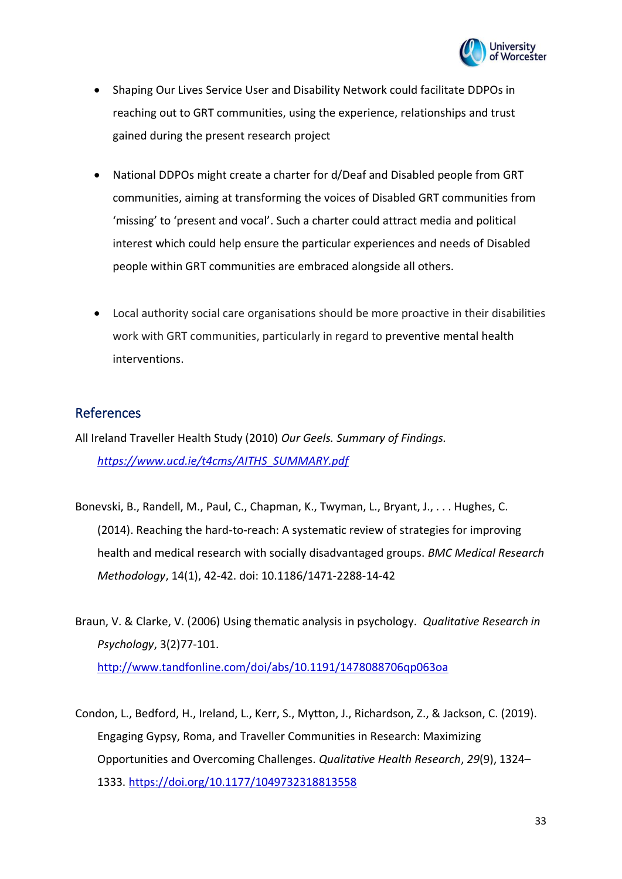

- Shaping Our Lives Service User and Disability Network could facilitate DDPOs in reaching out to GRT communities, using the experience, relationships and trust gained during the present research project
- National DDPOs might create a charter for d/Deaf and Disabled people from GRT communities, aiming at transforming the voices of Disabled GRT communities from 'missing' to 'present and vocal'. Such a charter could attract media and political interest which could help ensure the particular experiences and needs of Disabled people within GRT communities are embraced alongside all others.
- Local authority social care organisations should be more proactive in their disabilities work with GRT communities, particularly in regard to preventive mental health interventions.

## <span id="page-37-0"></span>References

All Ireland Traveller Health Study (2010) *Our Geels. Summary of Findings. [https://www.ucd.ie/t4cms/AITHS\\_SUMMARY.pdf](https://www.ucd.ie/t4cms/AITHS_SUMMARY.pdf)*

- Bonevski, B., Randell, M., Paul, C., Chapman, K., Twyman, L., Bryant, J., . . . Hughes, C. (2014). Reaching the hard-to-reach: A systematic review of strategies for improving health and medical research with socially disadvantaged groups. *BMC Medical Research Methodology*, 14(1), 42-42. doi: 10.1186/1471-2288-14-42
- Braun, V. & Clarke, V. (2006) Using thematic analysis in psychology. *Qualitative Research in Psychology*, 3(2)77-101. <http://www.tandfonline.com/doi/abs/10.1191/1478088706qp063oa>
- Condon, L., Bedford, H., Ireland, L., Kerr, S., Mytton, J., Richardson, Z., & Jackson, C. (2019). Engaging Gypsy, Roma, and Traveller Communities in Research: Maximizing Opportunities and Overcoming Challenges. *Qualitative Health Research*, *29*(9), 1324– 1333.<https://doi.org/10.1177/1049732318813558>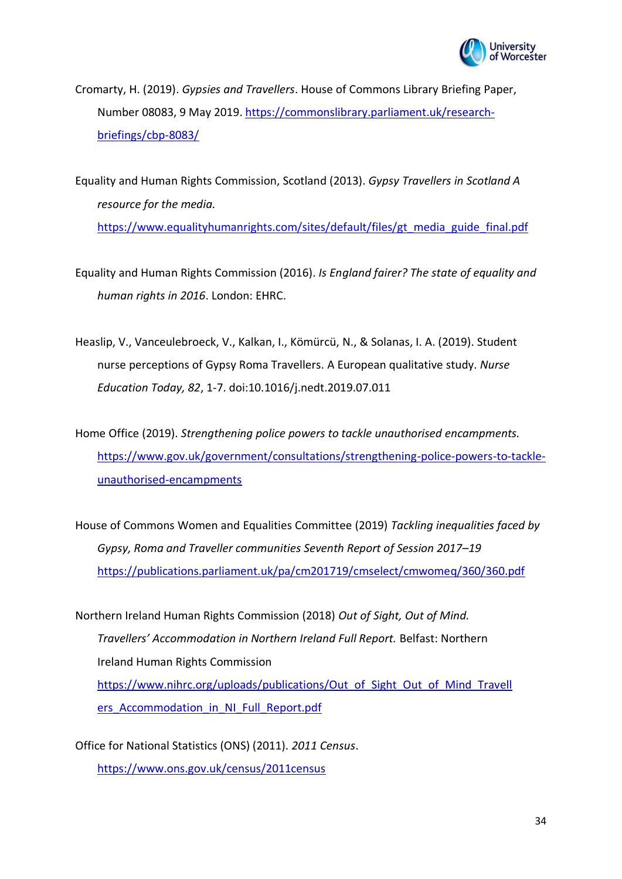

Cromarty, H. (2019). *Gypsies and Travellers*. House of Commons Library Briefing Paper, Number 08083, 9 May 2019. [https://commonslibrary.parliament.uk/research](https://commonslibrary.parliament.uk/research-briefings/cbp-8083/)[briefings/cbp-8083/](https://commonslibrary.parliament.uk/research-briefings/cbp-8083/)

Equality and Human Rights Commission, Scotland (2013). *Gypsy Travellers in Scotland A resource for the media.*  [https://www.equalityhumanrights.com/sites/default/files/gt\\_media\\_guide\\_final.pdf](https://www.equalityhumanrights.com/sites/default/files/gt_media_guide_final.pdf)

Equality and Human Rights Commission (2016). *Is England fairer? The state of equality and human rights in 2016*. London: EHRC.

Heaslip, V., Vanceulebroeck, V., Kalkan, I., Kömürcü, N., & Solanas, I. A. (2019). Student nurse perceptions of Gypsy Roma Travellers. A European qualitative study. *Nurse Education Today, 82*, 1-7. doi:10.1016/j.nedt.2019.07.011

Home Office (2019). *Strengthening police powers to tackle unauthorised encampments.* [https://www.gov.uk/government/consultations/strengthening-police-powers-to-tackle](https://www.gov.uk/government/consultations/strengthening-police-powers-to-tackle-unauthorised-encampments)[unauthorised-encampments](https://www.gov.uk/government/consultations/strengthening-police-powers-to-tackle-unauthorised-encampments)

House of Commons Women and Equalities Committee (2019) *Tackling inequalities faced by Gypsy, Roma and Traveller communities Seventh Report of Session 2017–19* <https://publications.parliament.uk/pa/cm201719/cmselect/cmwomeq/360/360.pdf>

Northern Ireland Human Rights Commission (2018) *Out of Sight, Out of Mind. Travellers' Accommodation in Northern Ireland Full Report.* Belfast: Northern Ireland Human Rights Commission [https://www.nihrc.org/uploads/publications/Out\\_of\\_Sight\\_Out\\_of\\_Mind\\_Travell](https://www.nihrc.org/uploads/publications/Out_of_Sight_Out_of_Mind_Travellers_Accommodation_in_NI_Full_Report.pdf) ers Accommodation in NI Full Report.pdf

Office for National Statistics (ONS) (2011). *2011 Census*. <https://www.ons.gov.uk/census/2011census>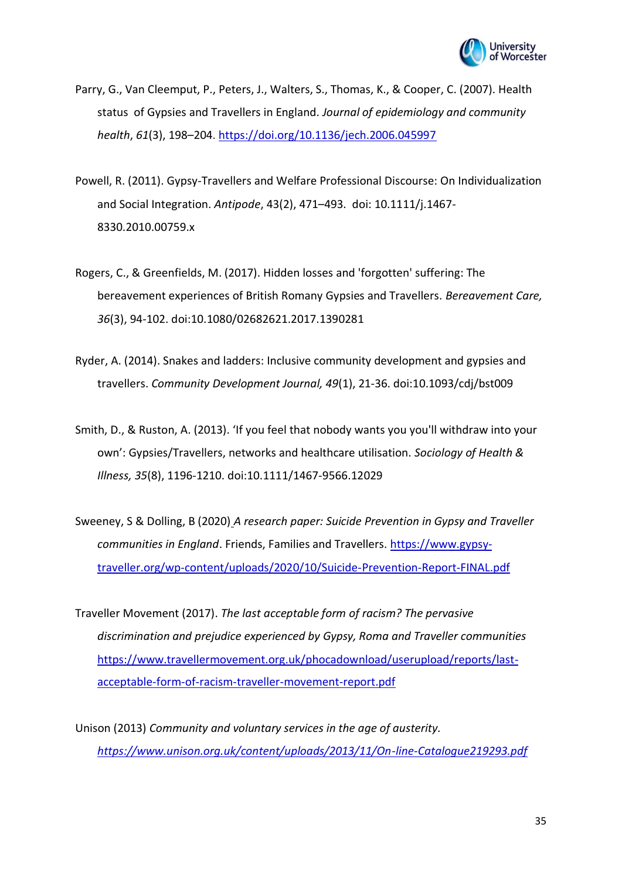

- Parry, G., Van Cleemput, P., Peters, J., Walters, S., Thomas, K., & Cooper, C. (2007). Health status of Gypsies and Travellers in England. *Journal of epidemiology and community health*, *61*(3), 198–204. <https://doi.org/10.1136/jech.2006.045997>
- Powell, R. (2011). Gypsy-Travellers and Welfare Professional Discourse: On Individualization and Social Integration. *Antipode*, 43(2), 471–493. doi: 10.1111/j.1467- 8330.2010.00759.x
- Rogers, C., & Greenfields, M. (2017). Hidden losses and 'forgotten' suffering: The bereavement experiences of British Romany Gypsies and Travellers. *Bereavement Care, 36*(3), 94-102. doi:10.1080/02682621.2017.1390281
- Ryder, A. (2014). Snakes and ladders: Inclusive community development and gypsies and travellers. *Community Development Journal, 49*(1), 21-36. doi:10.1093/cdj/bst009
- Smith, D., & Ruston, A. (2013). 'If you feel that nobody wants you you'll withdraw into your own': Gypsies/Travellers, networks and healthcare utilisation. *Sociology of Health & Illness, 35*(8), 1196-1210. doi:10.1111/1467-9566.12029
- Sweeney, S & Dolling, B (2020) *A research paper: Suicide Prevention in Gypsy and Traveller communities in England*. Friends, Families and Travellers. [https://www.gypsy](https://www.gypsy-traveller.org/wp-content/uploads/2020/10/Suicide-Prevention-Report-FINAL.pdf)[traveller.org/wp-content/uploads/2020/10/Suicide-Prevention-Report-FINAL.pdf](https://www.gypsy-traveller.org/wp-content/uploads/2020/10/Suicide-Prevention-Report-FINAL.pdf)
- Traveller Movement (2017). *The last acceptable form of racism? The pervasive discrimination and prejudice experienced by Gypsy, Roma and Traveller communities* [https://www.travellermovement.org.uk/phocadownload/userupload/reports/last](https://www.travellermovement.org.uk/phocadownload/userupload/reports/last-acceptable-form-of-racism-traveller-movement-report.pdf)[acceptable-form-of-racism-traveller-movement-report.pdf](https://www.travellermovement.org.uk/phocadownload/userupload/reports/last-acceptable-form-of-racism-traveller-movement-report.pdf)
- Unison (2013) *Community and voluntary services in the age of austerity. <https://www.unison.org.uk/content/uploads/2013/11/On-line-Catalogue219293.pdf>*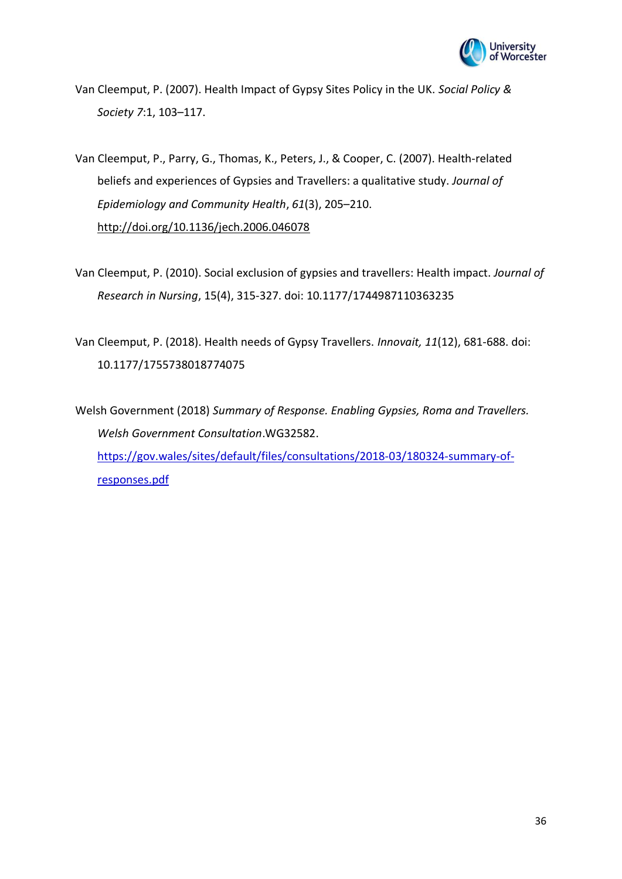

- Van Cleemput, P. (2007). Health Impact of Gypsy Sites Policy in the UK. *Social Policy & Society 7*:1, 103–117.
- Van Cleemput, P., Parry, G., Thomas, K., Peters, J., & Cooper, C. (2007). Health‐related beliefs and experiences of Gypsies and Travellers: a qualitative study. *Journal of Epidemiology and Community Health*, *61*(3), 205–210. <http://doi.org/10.1136/jech.2006.046078>
- Van Cleemput, P. (2010). Social exclusion of gypsies and travellers: Health impact. *Journal of Research in Nursing*, 15(4), 315-327. doi: 10.1177/1744987110363235
- Van Cleemput, P. (2018). Health needs of Gypsy Travellers. *Innovait, 11*(12), 681-688. doi: 10.1177/1755738018774075
- Welsh Government (2018) *Summary of Response. Enabling Gypsies, Roma and Travellers. Welsh Government Consultation*.WG32582. [https://gov.wales/sites/default/files/consultations/2018-03/180324-summary-of](https://gov.wales/sites/default/files/consultations/2018-03/180324-summary-of-responses.pdf)[responses.pdf](https://gov.wales/sites/default/files/consultations/2018-03/180324-summary-of-responses.pdf)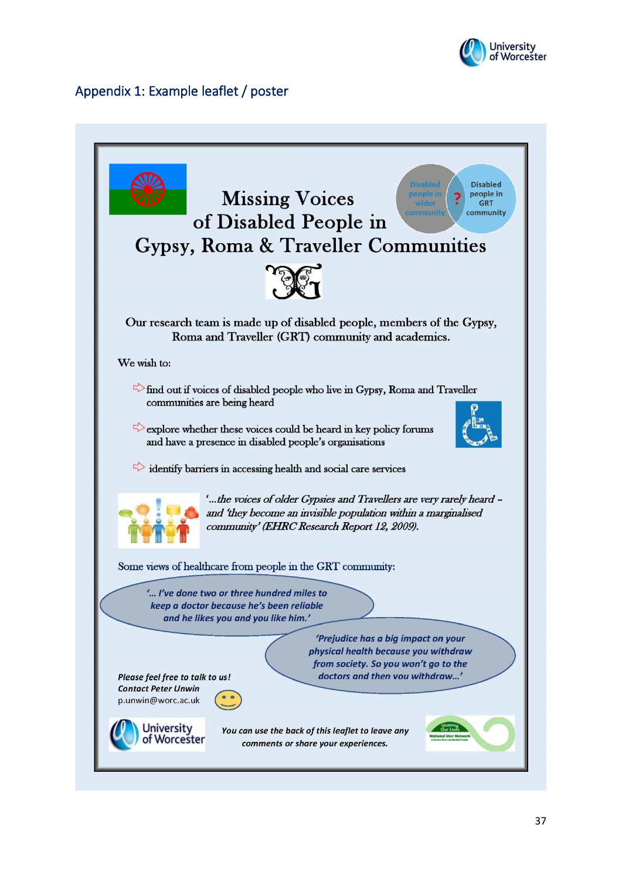

## <span id="page-41-0"></span>Appendix 1: Example leaflet / poster

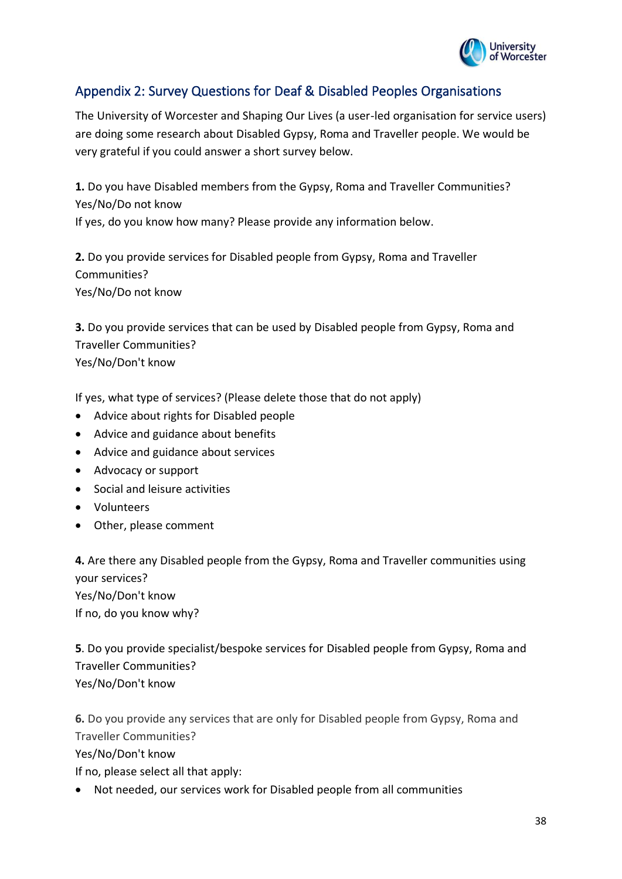

## <span id="page-42-0"></span>Appendix 2: Survey Questions for Deaf & Disabled Peoples Organisations

The University of Worcester and Shaping Our Lives (a user-led organisation for service users) are doing some research about Disabled Gypsy, Roma and Traveller people. We would be very grateful if you could answer a short survey below.

**1.** Do you have Disabled members from the Gypsy, Roma and Traveller Communities? Yes/No/Do not know

If yes, do you know how many? Please provide any information below.

**2.** Do you provide services for Disabled people from Gypsy, Roma and Traveller Communities? Yes/No/Do not know

**3.** Do you provide services that can be used by Disabled people from Gypsy, Roma and Traveller Communities? Yes/No/Don't know

If yes, what type of services? (Please delete those that do not apply)

- Advice about rights for Disabled people
- Advice and guidance about benefits
- Advice and guidance about services
- Advocacy or support
- Social and leisure activities
- Volunteers
- Other, please comment

**4.** Are there any Disabled people from the Gypsy, Roma and Traveller communities using your services? Yes/No/Don't know If no, do you know why?

**5**. Do you provide specialist/bespoke services for Disabled people from Gypsy, Roma and Traveller Communities? Yes/No/Don't know

**6.** Do you provide any services that are only for Disabled people from Gypsy, Roma and Traveller Communities?

Yes/No/Don't know

If no, please select all that apply:

• Not needed, our services work for Disabled people from all communities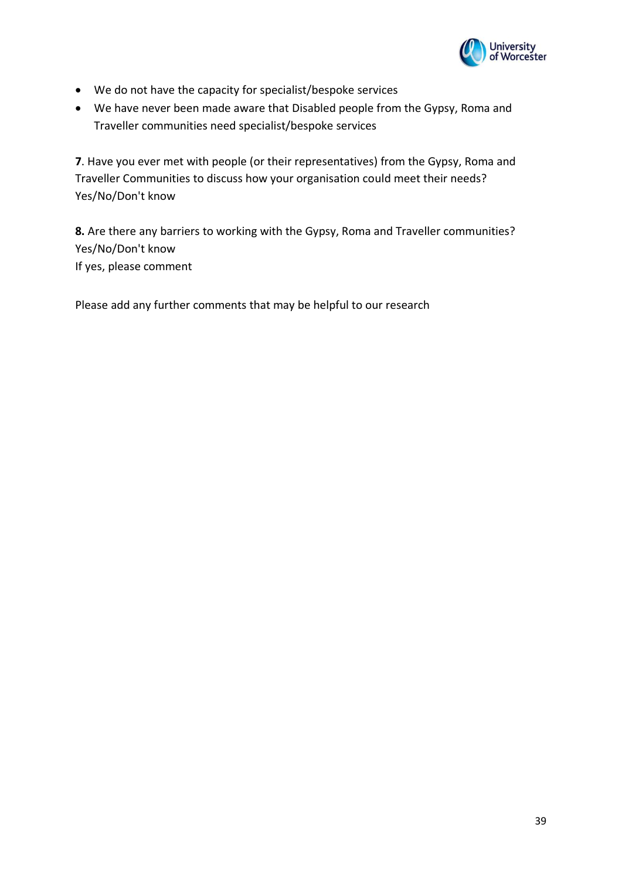

- We do not have the capacity for specialist/bespoke services
- We have never been made aware that Disabled people from the Gypsy, Roma and Traveller communities need specialist/bespoke services

**7**. Have you ever met with people (or their representatives) from the Gypsy, Roma and Traveller Communities to discuss how your organisation could meet their needs? Yes/No/Don't know

**8.** Are there any barriers to working with the Gypsy, Roma and Traveller communities? Yes/No/Don't know If yes, please comment

Please add any further comments that may be helpful to our research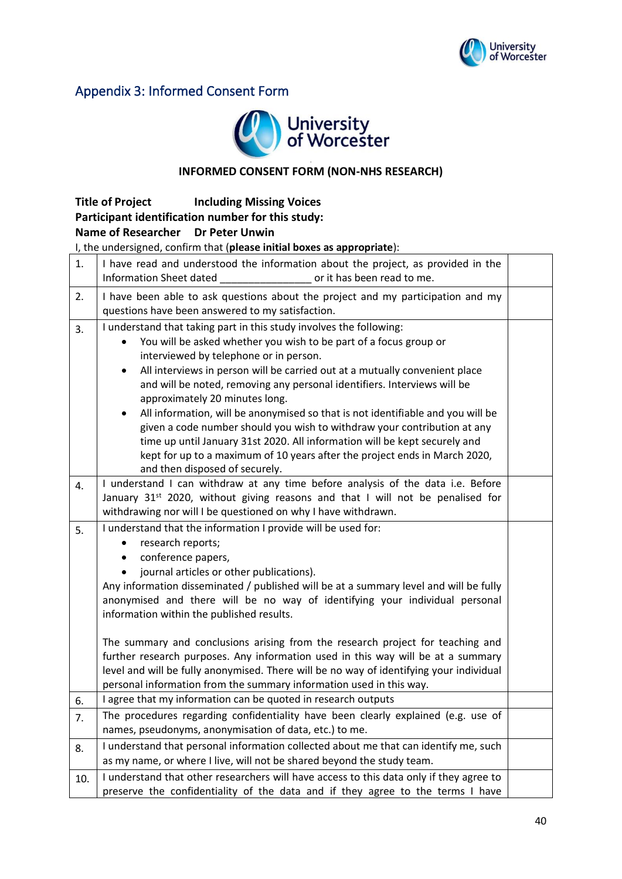

## <span id="page-44-0"></span>Appendix 3: Informed Consent Form



#### **. INFORMED CONSENT FORM (NON-NHS RESEARCH)**

**Title of Project Including Missing Voices Participant identification number for this study: Name of Researcher Dr Peter Unwin**

I, the undersigned, confirm that (**please initial boxes as appropriate**):

| 1.  | I have read and understood the information about the project, as provided in the<br><b>Information Sheet dated</b><br>or it has been read to me.                                                                                                                                                                                                                                                                                                                                                                                                                                                                                                                                                                                                                                    |  |
|-----|-------------------------------------------------------------------------------------------------------------------------------------------------------------------------------------------------------------------------------------------------------------------------------------------------------------------------------------------------------------------------------------------------------------------------------------------------------------------------------------------------------------------------------------------------------------------------------------------------------------------------------------------------------------------------------------------------------------------------------------------------------------------------------------|--|
| 2.  | I have been able to ask questions about the project and my participation and my<br>questions have been answered to my satisfaction.                                                                                                                                                                                                                                                                                                                                                                                                                                                                                                                                                                                                                                                 |  |
| 3.  | I understand that taking part in this study involves the following:<br>You will be asked whether you wish to be part of a focus group or<br>$\bullet$<br>interviewed by telephone or in person.<br>All interviews in person will be carried out at a mutually convenient place<br>$\bullet$<br>and will be noted, removing any personal identifiers. Interviews will be<br>approximately 20 minutes long.<br>All information, will be anonymised so that is not identifiable and you will be<br>$\bullet$<br>given a code number should you wish to withdraw your contribution at any<br>time up until January 31st 2020. All information will be kept securely and<br>kept for up to a maximum of 10 years after the project ends in March 2020,<br>and then disposed of securely. |  |
| 4.  | I understand I can withdraw at any time before analysis of the data i.e. Before<br>January 31 <sup>st</sup> 2020, without giving reasons and that I will not be penalised for<br>withdrawing nor will I be questioned on why I have withdrawn.                                                                                                                                                                                                                                                                                                                                                                                                                                                                                                                                      |  |
| 5.  | I understand that the information I provide will be used for:<br>research reports;<br>$\bullet$<br>conference papers,<br>$\bullet$<br>journal articles or other publications).<br>Any information disseminated / published will be at a summary level and will be fully<br>anonymised and there will be no way of identifying your individual personal<br>information within the published results.<br>The summary and conclusions arising from the research project for teaching and<br>further research purposes. Any information used in this way will be at a summary<br>level and will be fully anonymised. There will be no way of identifying your individual<br>personal information from the summary information used in this way.                                         |  |
| 6.  | I agree that my information can be quoted in research outputs                                                                                                                                                                                                                                                                                                                                                                                                                                                                                                                                                                                                                                                                                                                       |  |
| 7.  | The procedures regarding confidentiality have been clearly explained (e.g. use of<br>names, pseudonyms, anonymisation of data, etc.) to me.                                                                                                                                                                                                                                                                                                                                                                                                                                                                                                                                                                                                                                         |  |
| 8.  | I understand that personal information collected about me that can identify me, such<br>as my name, or where I live, will not be shared beyond the study team.                                                                                                                                                                                                                                                                                                                                                                                                                                                                                                                                                                                                                      |  |
| 10. | I understand that other researchers will have access to this data only if they agree to<br>preserve the confidentiality of the data and if they agree to the terms I have                                                                                                                                                                                                                                                                                                                                                                                                                                                                                                                                                                                                           |  |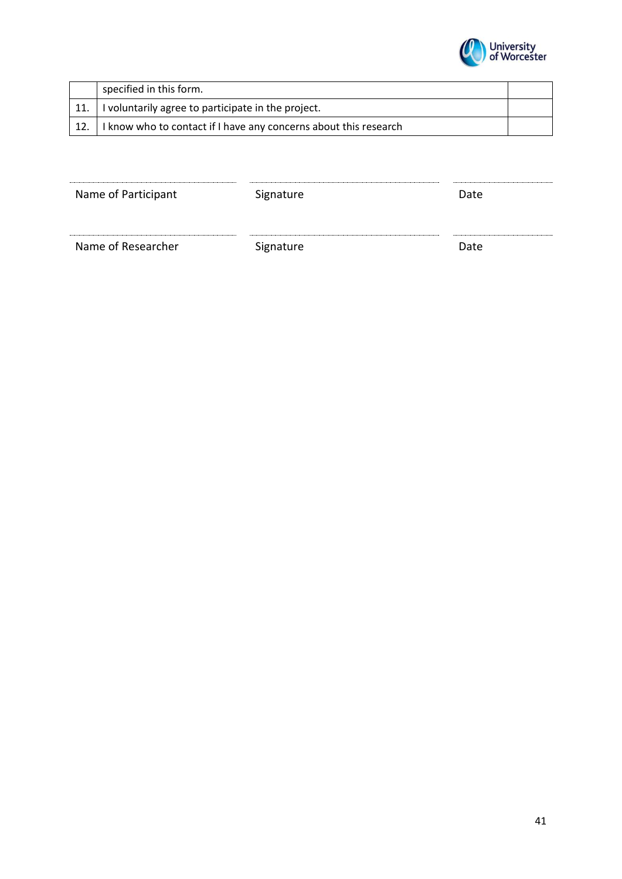

| specified in this form.                                          |  |
|------------------------------------------------------------------|--|
| I voluntarily agree to participate in the project.               |  |
| I know who to contact if I have any concerns about this research |  |

| Name of Participant | Signature | Date |
|---------------------|-----------|------|
|                     |           |      |
| Name of Researcher  | Signature | Date |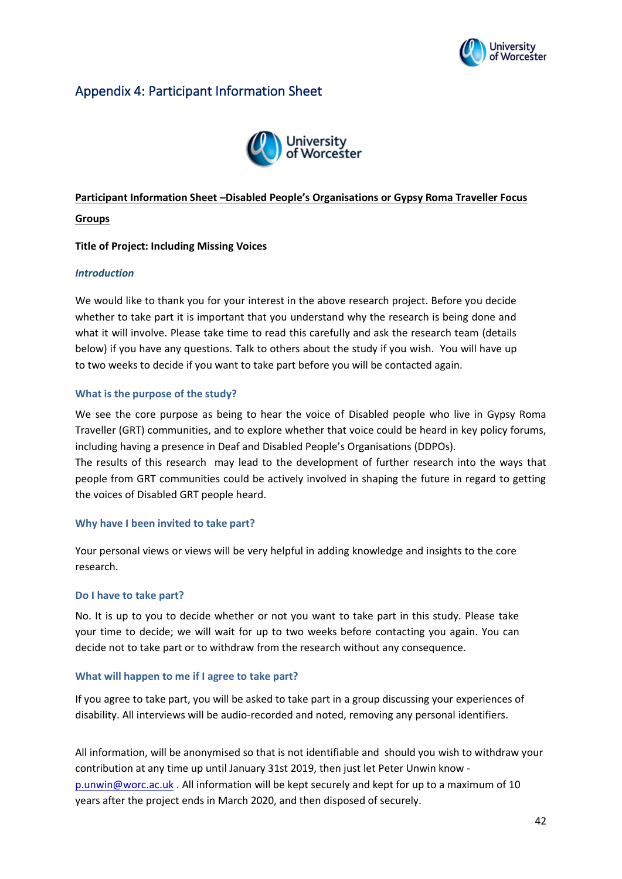

## <span id="page-46-0"></span>Appendix 4: Participant Information Sheet



## **Participant Information Sheet –Disabled People's Organisations or Gypsy Roma Traveller Focus**

#### **Groups**

#### **Title of Project: Including Missing Voices**

#### *Introduction*

We would like to thank you for your interest in the above research project. Before you decide whether to take part it is important that you understand why the research is being done and what it will involve. Please take time to read this carefully and ask the research team (details below) if you have any questions. Talk to others about the study if you wish. You will have up to two weeks to decide if you want to take part before you will be contacted again.

#### **What is the purpose of the study?**

We see the core purpose as being to hear the voice of Disabled people who live in Gypsy Roma Traveller (GRT) communities, and to explore whether that voice could be heard in key policy forums, including having a presence in Deaf and Disabled People's Organisations (DDPOs).

The results of this research may lead to the development of further research into the ways that people from GRT communities could be actively involved in shaping the future in regard to getting the voices of Disabled GRT people heard.

#### **Why have I been invited to take part?**

Your personal views or views will be very helpful in adding knowledge and insights to the core research.

#### **Do I have to take part?**

No. It is up to you to decide whether or not you want to take part in this study. Please take your time to decide; we will wait for up to two weeks before contacting you again. You can decide not to take part or to withdraw from the research without any consequence.

#### **What will happen to me if I agree to take part?**

If you agree to take part, you will be asked to take part in a group discussing your experiences of disability. All interviews will be audio-recorded and noted, removing any personal identifiers.

All information, will be anonymised so that is not identifiable and should you wish to withdraw your contribution at any time up until January 31st 2019, then just let Peter Unwin know [p.unwin@worc.ac.uk](mailto:p.unwin@worc.ac.uk) . All information will be kept securely and kept for up to a maximum of 10 years after the project ends in March 2020, and then disposed of securely.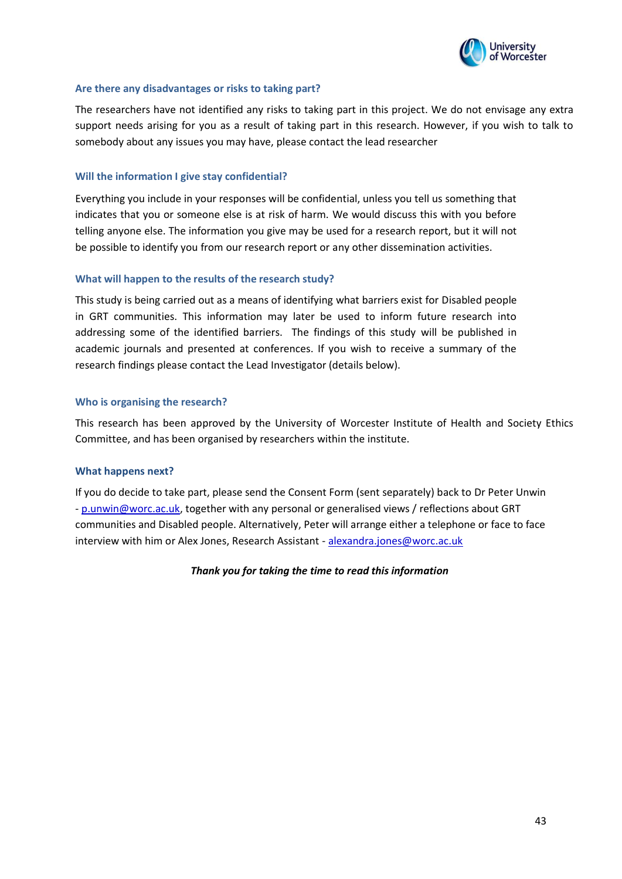

#### **Are there any disadvantages or risks to taking part?**

The researchers have not identified any risks to taking part in this project. We do not envisage any extra support needs arising for you as a result of taking part in this research. However, if you wish to talk to somebody about any issues you may have, please contact the lead researcher

#### **Will the information I give stay confidential?**

Everything you include in your responses will be confidential, unless you tell us something that indicates that you or someone else is at risk of harm. We would discuss this with you before telling anyone else. The information you give may be used for a research report, but it will not be possible to identify you from our research report or any other dissemination activities.

#### **What will happen to the results of the research study?**

This study is being carried out as a means of identifying what barriers exist for Disabled people in GRT communities. This information may later be used to inform future research into addressing some of the identified barriers. The findings of this study will be published in academic journals and presented at conferences. If you wish to receive a summary of the research findings please contact the Lead Investigator (details below).

#### **Who is organising the research?**

This research has been approved by the University of Worcester Institute of Health and Society Ethics Committee, and has been organised by researchers within the institute.

#### **What happens next?**

If you do decide to take part, please send the Consent Form (sent separately) back to Dr Peter Unwin - [p.unwin@worc.ac.uk,](mailto:p.unwin@worc.ac.uk) together with any personal or generalised views / reflections about GRT communities and Disabled people. Alternatively, Peter will arrange either a telephone or face to face interview with him or Alex Jones, Research Assistant - [alexandra.jones@worc.ac.uk](mailto:l.torney@worc.ac.uk)

#### *Thank you for taking the time to read this information*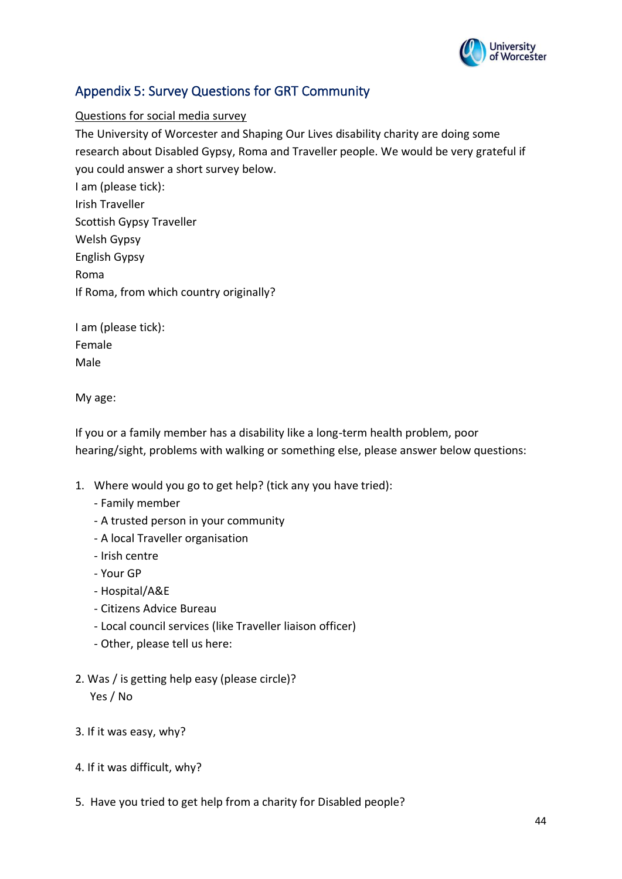

## <span id="page-48-0"></span>Appendix 5: Survey Questions for GRT Community

## Questions for social media survey

The University of Worcester and Shaping Our Lives disability charity are doing some research about Disabled Gypsy, Roma and Traveller people. We would be very grateful if you could answer a short survey below. I am (please tick): Irish Traveller Scottish Gypsy Traveller Welsh Gypsy English Gypsy Roma If Roma, from which country originally?

I am (please tick): Female Male

My age:

If you or a family member has a disability like a long-term health problem, poor hearing/sight, problems with walking or something else, please answer below questions:

- 1. Where would you go to get help? (tick any you have tried):
	- Family member
	- A trusted person in your community
	- A local Traveller organisation
	- Irish centre
	- Your GP
	- Hospital/A&E
	- Citizens Advice Bureau
	- Local council services (like Traveller liaison officer)
	- Other, please tell us here:
- 2. Was / is getting help easy (please circle)? Yes / No
- 3. If it was easy, why?
- 4. If it was difficult, why?
- 5. Have you tried to get help from a charity for Disabled people?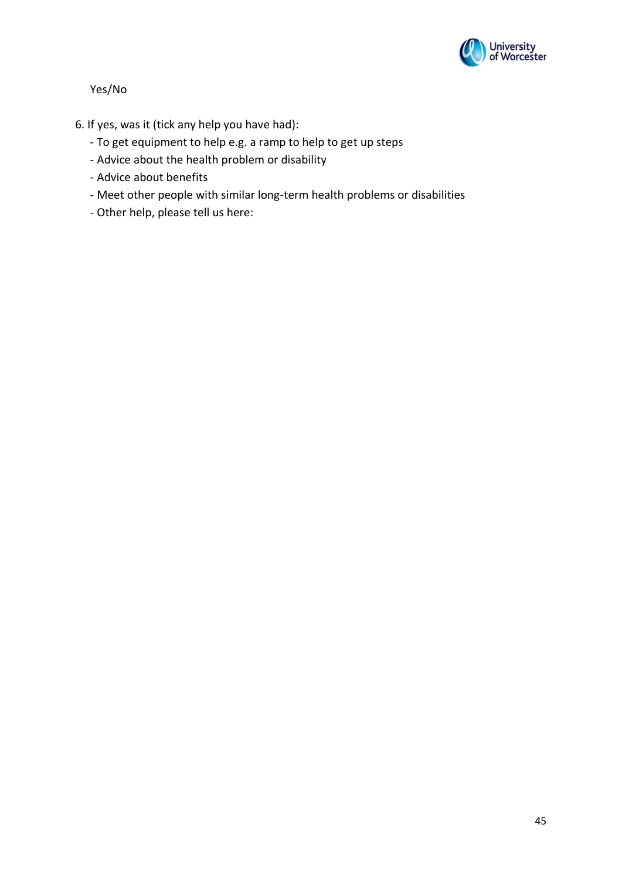

Yes/No

- 6. If yes, was it (tick any help you have had):
	- To get equipment to help e.g. a ramp to help to get up steps
	- Advice about the health problem or disability
	- Advice about benefits
	- Meet other people with similar long-term health problems or disabilities
	- Other help, please tell us here: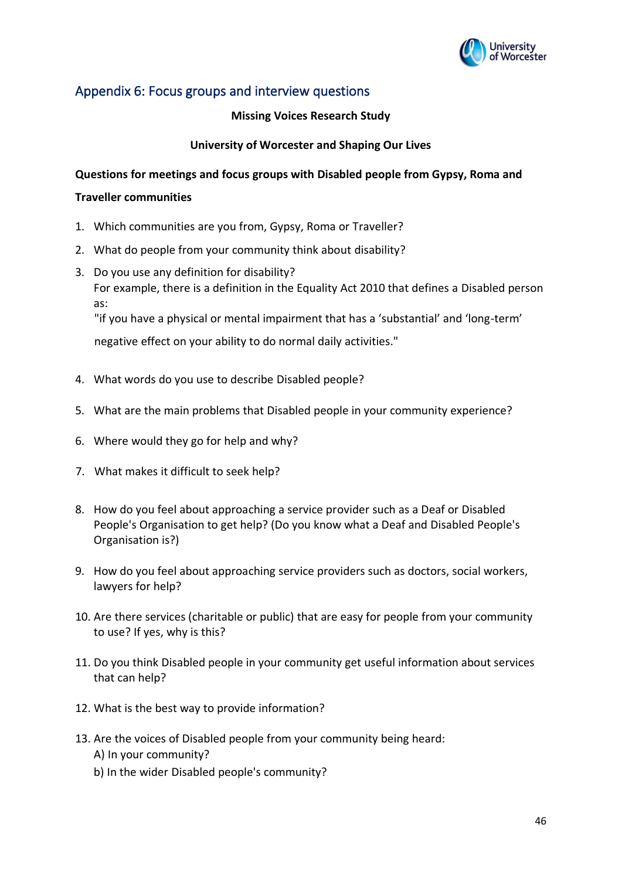

## <span id="page-50-0"></span>Appendix 6: Focus groups and interview questions

## **Missing Voices Research Study**

## **University of Worcester and Shaping Our Lives**

## **Questions for meetings and focus groups with Disabled people from Gypsy, Roma and**

## **Traveller communities**

- 1. Which communities are you from, Gypsy, Roma or Traveller?
- 2. What do people from your community think about disability?
- 3. Do you use any definition for disability? For example, there is a definition in the Equality Act 2010 that defines a Disabled person as:

"if you have a physical or mental impairment that has a 'substantial' and 'long-term'

negative effect on your ability to do normal daily activities."

- 4. What words do you use to describe Disabled people?
- 5. What are the main problems that Disabled people in your community experience?
- 6. Where would they go for help and why?
- 7. What makes it difficult to seek help?
- 8. How do you feel about approaching a service provider such as a Deaf or Disabled People's Organisation to get help? (Do you know what a Deaf and Disabled People's Organisation is?)
- 9. How do you feel about approaching service providers such as doctors, social workers, lawyers for help?
- 10. Are there services (charitable or public) that are easy for people from your community to use? If yes, why is this?
- 11. Do you think Disabled people in your community get useful information about services that can help?
- 12. What is the best way to provide information?
- 13. Are the voices of Disabled people from your community being heard: A) In your community?
	- b) In the wider Disabled people's community?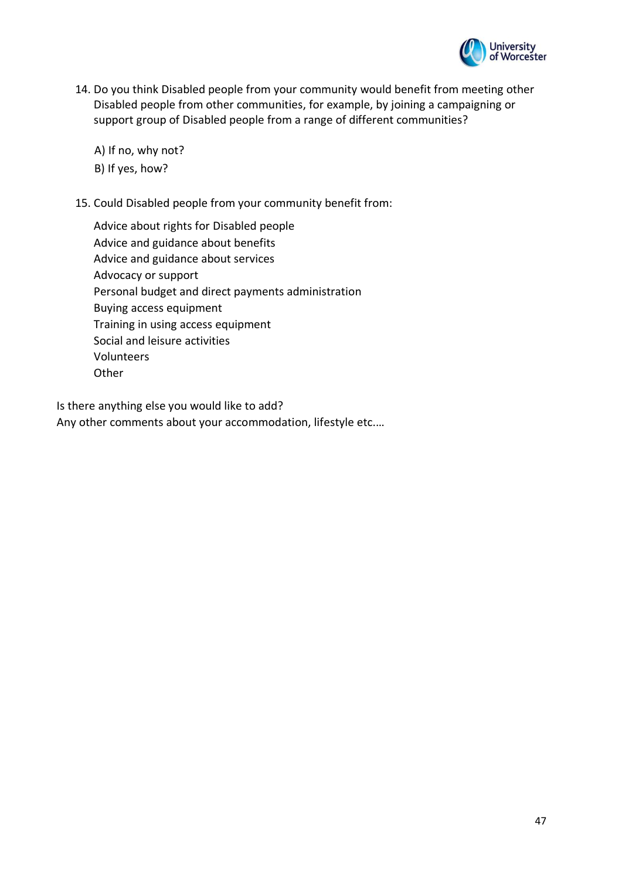

14. Do you think Disabled people from your community would benefit from meeting other Disabled people from other communities, for example, by joining a campaigning or support group of Disabled people from a range of different communities?

A) If no, why not? B) If yes, how?

15. Could Disabled people from your community benefit from:

Advice about rights for Disabled people Advice and guidance about benefits Advice and guidance about services Advocacy or support Personal budget and direct payments administration Buying access equipment Training in using access equipment Social and leisure activities Volunteers **Other** 

Is there anything else you would like to add? Any other comments about your accommodation, lifestyle etc.…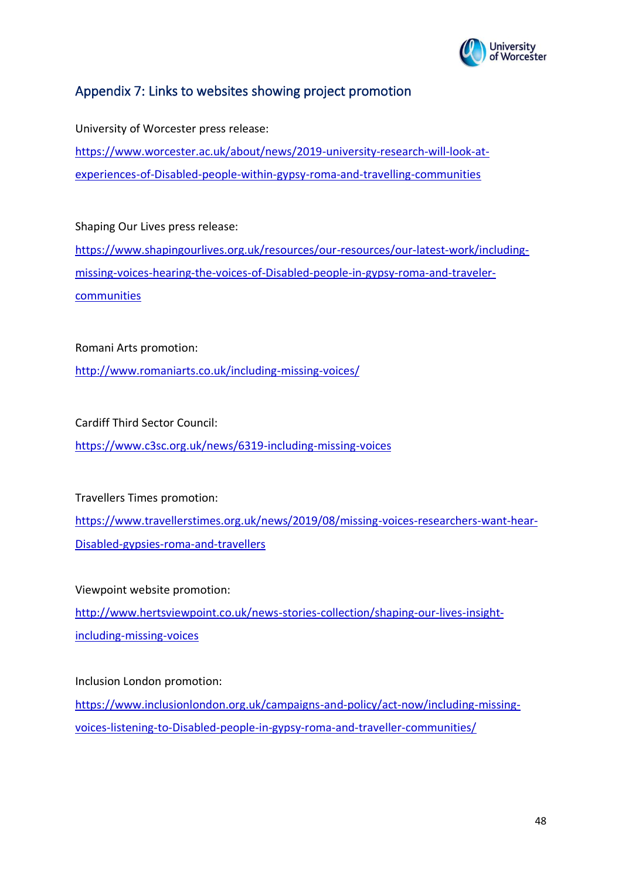

## <span id="page-52-0"></span>Appendix 7: Links to websites showing project promotion

University of Worcester press release:

[https://www.worcester.ac.uk/about/news/2019-university-research-will-look-at](https://www.worcester.ac.uk/about/news/2019-university-research-will-look-at-experiences-of-disabled-people-within-gypsy-roma-and-travelling-communities)[experiences-of-Disabled-people-within-gypsy-roma-and-travelling-communities](https://www.worcester.ac.uk/about/news/2019-university-research-will-look-at-experiences-of-disabled-people-within-gypsy-roma-and-travelling-communities)

Shaping Our Lives press release:

[https://www.shapingourlives.org.uk/resources/our-resources/our-latest-work/including](https://www.shapingourlives.org.uk/resources/our-resources/our-latest-work/including-missing-voices-hearing-the-voices-of-disabled-people-in-gypsy-roma-and-traveler-communities)[missing-voices-hearing-the-voices-of-Disabled-people-in-gypsy-roma-and-traveler](https://www.shapingourlives.org.uk/resources/our-resources/our-latest-work/including-missing-voices-hearing-the-voices-of-disabled-people-in-gypsy-roma-and-traveler-communities)[communities](https://www.shapingourlives.org.uk/resources/our-resources/our-latest-work/including-missing-voices-hearing-the-voices-of-disabled-people-in-gypsy-roma-and-traveler-communities)

Romani Arts promotion:

<http://www.romaniarts.co.uk/including-missing-voices/>

Cardiff Third Sector Council:

<https://www.c3sc.org.uk/news/6319-including-missing-voices>

Travellers Times promotion:

[https://www.travellerstimes.org.uk/news/2019/08/missing-voices-researchers-want-hear-](https://www.travellerstimes.org.uk/news/2019/08/missing-voices-researchers-want-hear-disabled-gypsies-roma-and-travellers)[Disabled-gypsies-roma-and-travellers](https://www.travellerstimes.org.uk/news/2019/08/missing-voices-researchers-want-hear-disabled-gypsies-roma-and-travellers)

Viewpoint website promotion:

[http://www.hertsviewpoint.co.uk/news-stories-collection/shaping-our-lives-insight](http://www.hertsviewpoint.co.uk/news-stories-collection/shaping-our-lives-insight-including-missing-voices)[including-missing-voices](http://www.hertsviewpoint.co.uk/news-stories-collection/shaping-our-lives-insight-including-missing-voices)

Inclusion London promotion:

[https://www.inclusionlondon.org.uk/campaigns-and-policy/act-now/including-missing](https://www.inclusionlondon.org.uk/campaigns-and-policy/act-now/including-missing-voices-listening-to-disabled-people-in-gypsy-roma-and-traveller-communities/)[voices-listening-to-Disabled-people-in-gypsy-roma-and-traveller-communities/](https://www.inclusionlondon.org.uk/campaigns-and-policy/act-now/including-missing-voices-listening-to-disabled-people-in-gypsy-roma-and-traveller-communities/)